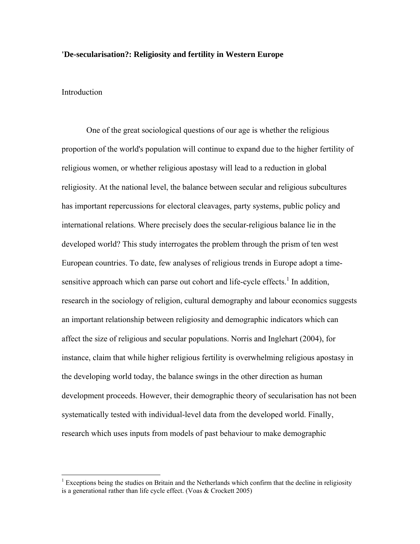### **'De-secularisation?: Religiosity and fertility in Western Europe**

# **Introduction**

 $\overline{a}$ 

 One of the great sociological questions of our age is whether the religious proportion of the world's population will continue to expand due to the higher fertility of religious women, or whether religious apostasy will lead to a reduction in global religiosity. At the national level, the balance between secular and religious subcultures has important repercussions for electoral cleavages, party systems, public policy and international relations. Where precisely does the secular-religious balance lie in the developed world? This study interrogates the problem through the prism of ten west European countries. To date, few analyses of religious trends in Europe adopt a timesensitive approach which can parse out cohort and life-cycle effects.<sup>1</sup> In addition, research in the sociology of religion, cultural demography and labour economics suggests an important relationship between religiosity and demographic indicators which can affect the size of religious and secular populations. Norris and Inglehart (2004), for instance, claim that while higher religious fertility is overwhelming religious apostasy in the developing world today, the balance swings in the other direction as human development proceeds. However, their demographic theory of secularisation has not been systematically tested with individual-level data from the developed world. Finally, research which uses inputs from models of past behaviour to make demographic

 $1$  Exceptions being the studies on Britain and the Netherlands which confirm that the decline in religiosity is a generational rather than life cycle effect. (Voas & Crockett 2005)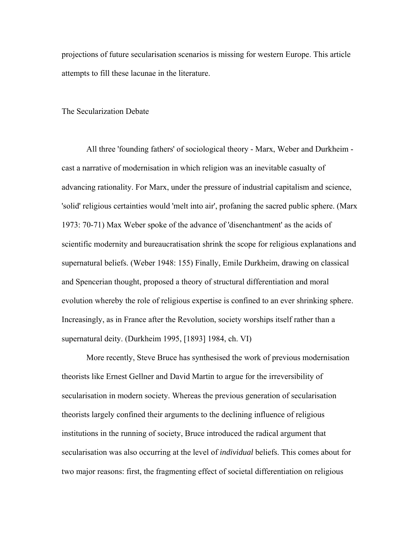projections of future secularisation scenarios is missing for western Europe. This article attempts to fill these lacunae in the literature.

#### The Secularization Debate

 All three 'founding fathers' of sociological theory - Marx, Weber and Durkheim cast a narrative of modernisation in which religion was an inevitable casualty of advancing rationality. For Marx, under the pressure of industrial capitalism and science, 'solid' religious certainties would 'melt into air', profaning the sacred public sphere. (Marx 1973: 70-71) Max Weber spoke of the advance of 'disenchantment' as the acids of scientific modernity and bureaucratisation shrink the scope for religious explanations and supernatural beliefs. (Weber 1948: 155) Finally, Emile Durkheim, drawing on classical and Spencerian thought, proposed a theory of structural differentiation and moral evolution whereby the role of religious expertise is confined to an ever shrinking sphere. Increasingly, as in France after the Revolution, society worships itself rather than a supernatural deity. (Durkheim 1995, [1893] 1984, ch. VI)

 More recently, Steve Bruce has synthesised the work of previous modernisation theorists like Ernest Gellner and David Martin to argue for the irreversibility of secularisation in modern society. Whereas the previous generation of secularisation theorists largely confined their arguments to the declining influence of religious institutions in the running of society, Bruce introduced the radical argument that secularisation was also occurring at the level of *individual* beliefs. This comes about for two major reasons: first, the fragmenting effect of societal differentiation on religious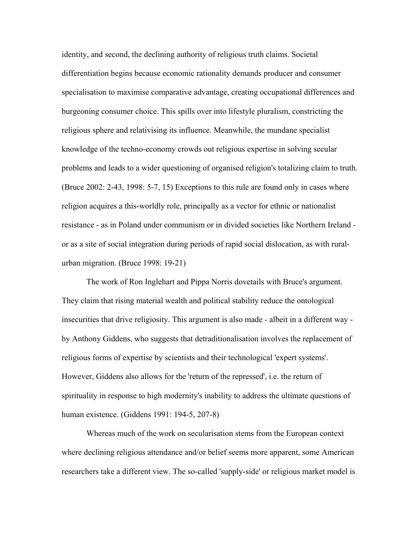identity, and second, the declining authority of religious truth claims. Societal differentiation begins because economic rationality demands producer and consumer specialisation to maximise comparative advantage, creating occupational differences and burgeoning consumer choice. This spills over into lifestyle pluralism, constricting the religious sphere and relativising its influence. Meanwhile, the mundane specialist knowledge of the techno-economy crowds out religious expertise in solving secular problems and leads to a wider questioning of organised religion's totalizing claim to truth. (Bruce 2002: 2-43, 1998: 5-7, 15) Exceptions to this rule are found only in cases where religion acquires a this-worldly role, principally as a vector for ethnic or nationalist resistance - as in Poland under communism or in divided societies like Northern Ireland or as a site of social integration during periods of rapid social dislocation, as with ruralurban migration. (Bruce 1998: 19-21)

 The work of Ron Inglehart and Pippa Norris dovetails with Bruce's argument. They claim that rising material wealth and political stability reduce the ontological insecurities that drive religiosity. This argument is also made - albeit in a different way by Anthony Giddens, who suggests that detraditionalisation involves the replacement of religious forms of expertise by scientists and their technological 'expert systems'. However, Giddens also allows for the 'return of the repressed', i.e. the return of spirituality in response to high modernity's inability to address the ultimate questions of human existence. (Giddens 1991: 194-5, 207-8)

 Whereas much of the work on secularisation stems from the European context where declining religious attendance and/or belief seems more apparent, some American researchers take a different view. The so-called 'supply-side' or religious market model is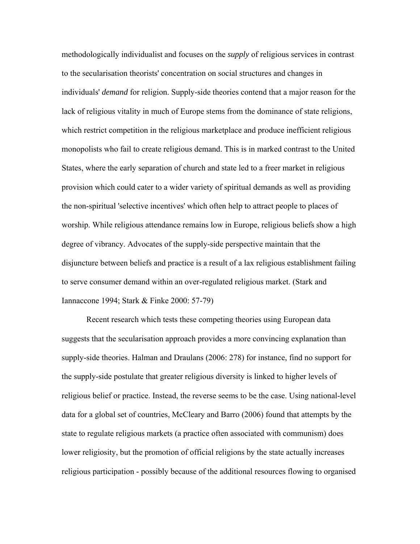methodologically individualist and focuses on the *supply* of religious services in contrast to the secularisation theorists' concentration on social structures and changes in individuals' *demand* for religion. Supply-side theories contend that a major reason for the lack of religious vitality in much of Europe stems from the dominance of state religions, which restrict competition in the religious marketplace and produce inefficient religious monopolists who fail to create religious demand. This is in marked contrast to the United States, where the early separation of church and state led to a freer market in religious provision which could cater to a wider variety of spiritual demands as well as providing the non-spiritual 'selective incentives' which often help to attract people to places of worship. While religious attendance remains low in Europe, religious beliefs show a high degree of vibrancy. Advocates of the supply-side perspective maintain that the disjuncture between beliefs and practice is a result of a lax religious establishment failing to serve consumer demand within an over-regulated religious market. (Stark and Iannaccone 1994; Stark & Finke 2000: 57-79)

 Recent research which tests these competing theories using European data suggests that the secularisation approach provides a more convincing explanation than supply-side theories. Halman and Draulans (2006: 278) for instance, find no support for the supply-side postulate that greater religious diversity is linked to higher levels of religious belief or practice. Instead, the reverse seems to be the case. Using national-level data for a global set of countries, McCleary and Barro (2006) found that attempts by the state to regulate religious markets (a practice often associated with communism) does lower religiosity, but the promotion of official religions by the state actually increases religious participation - possibly because of the additional resources flowing to organised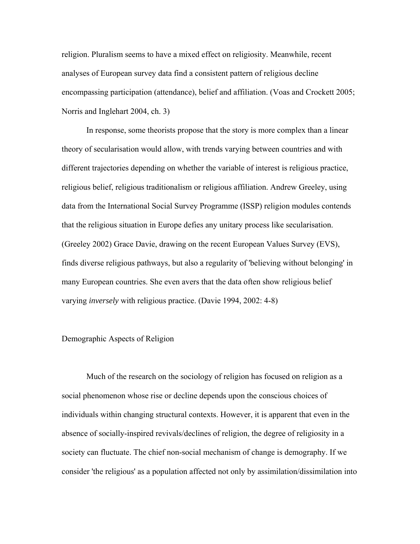religion. Pluralism seems to have a mixed effect on religiosity. Meanwhile, recent analyses of European survey data find a consistent pattern of religious decline encompassing participation (attendance), belief and affiliation. (Voas and Crockett 2005; Norris and Inglehart 2004, ch. 3)

 In response, some theorists propose that the story is more complex than a linear theory of secularisation would allow, with trends varying between countries and with different trajectories depending on whether the variable of interest is religious practice, religious belief, religious traditionalism or religious affiliation. Andrew Greeley, using data from the International Social Survey Programme (ISSP) religion modules contends that the religious situation in Europe defies any unitary process like secularisation. (Greeley 2002) Grace Davie, drawing on the recent European Values Survey (EVS), finds diverse religious pathways, but also a regularity of 'believing without belonging' in many European countries. She even avers that the data often show religious belief varying *inversely* with religious practice. (Davie 1994, 2002: 4-8)

# Demographic Aspects of Religion

 Much of the research on the sociology of religion has focused on religion as a social phenomenon whose rise or decline depends upon the conscious choices of individuals within changing structural contexts. However, it is apparent that even in the absence of socially-inspired revivals/declines of religion, the degree of religiosity in a society can fluctuate. The chief non-social mechanism of change is demography. If we consider 'the religious' as a population affected not only by assimilation/dissimilation into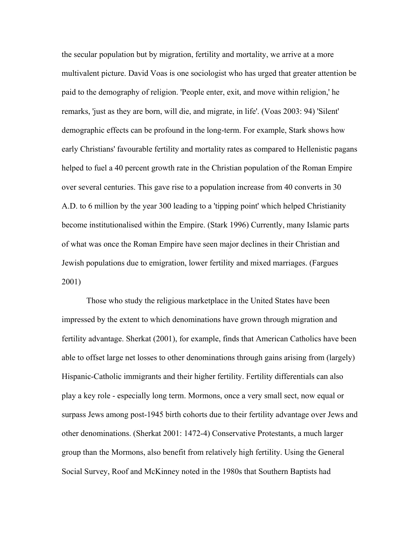the secular population but by migration, fertility and mortality, we arrive at a more multivalent picture. David Voas is one sociologist who has urged that greater attention be paid to the demography of religion. 'People enter, exit, and move within religion,' he remarks, 'just as they are born, will die, and migrate, in life'. (Voas 2003: 94) 'Silent' demographic effects can be profound in the long-term. For example, Stark shows how early Christians' favourable fertility and mortality rates as compared to Hellenistic pagans helped to fuel a 40 percent growth rate in the Christian population of the Roman Empire over several centuries. This gave rise to a population increase from 40 converts in 30 A.D. to 6 million by the year 300 leading to a 'tipping point' which helped Christianity become institutionalised within the Empire. (Stark 1996) Currently, many Islamic parts of what was once the Roman Empire have seen major declines in their Christian and Jewish populations due to emigration, lower fertility and mixed marriages. (Fargues 2001)

 Those who study the religious marketplace in the United States have been impressed by the extent to which denominations have grown through migration and fertility advantage. Sherkat (2001), for example, finds that American Catholics have been able to offset large net losses to other denominations through gains arising from (largely) Hispanic-Catholic immigrants and their higher fertility. Fertility differentials can also play a key role - especially long term. Mormons, once a very small sect, now equal or surpass Jews among post-1945 birth cohorts due to their fertility advantage over Jews and other denominations. (Sherkat 2001: 1472-4) Conservative Protestants, a much larger group than the Mormons, also benefit from relatively high fertility. Using the General Social Survey, Roof and McKinney noted in the 1980s that Southern Baptists had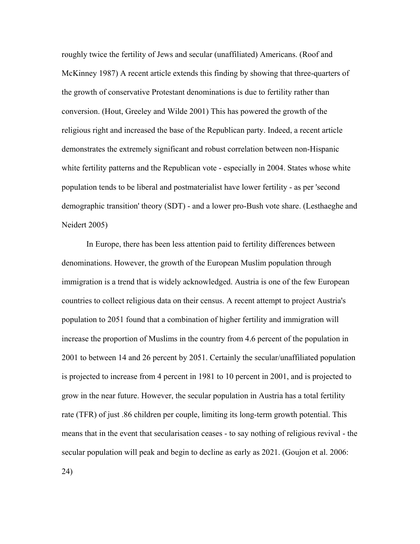roughly twice the fertility of Jews and secular (unaffiliated) Americans. (Roof and McKinney 1987) A recent article extends this finding by showing that three-quarters of the growth of conservative Protestant denominations is due to fertility rather than conversion. (Hout, Greeley and Wilde 2001) This has powered the growth of the religious right and increased the base of the Republican party. Indeed, a recent article demonstrates the extremely significant and robust correlation between non-Hispanic white fertility patterns and the Republican vote - especially in 2004. States whose white population tends to be liberal and postmaterialist have lower fertility - as per 'second demographic transition' theory (SDT) - and a lower pro-Bush vote share. (Lesthaeghe and Neidert 2005)

 In Europe, there has been less attention paid to fertility differences between denominations. However, the growth of the European Muslim population through immigration is a trend that is widely acknowledged. Austria is one of the few European countries to collect religious data on their census. A recent attempt to project Austria's population to 2051 found that a combination of higher fertility and immigration will increase the proportion of Muslims in the country from 4.6 percent of the population in 2001 to between 14 and 26 percent by 2051. Certainly the secular/unaffiliated population is projected to increase from 4 percent in 1981 to 10 percent in 2001, and is projected to grow in the near future. However, the secular population in Austria has a total fertility rate (TFR) of just .86 children per couple, limiting its long-term growth potential. This means that in the event that secularisation ceases - to say nothing of religious revival - the secular population will peak and begin to decline as early as 2021. (Goujon et al. 2006:

24)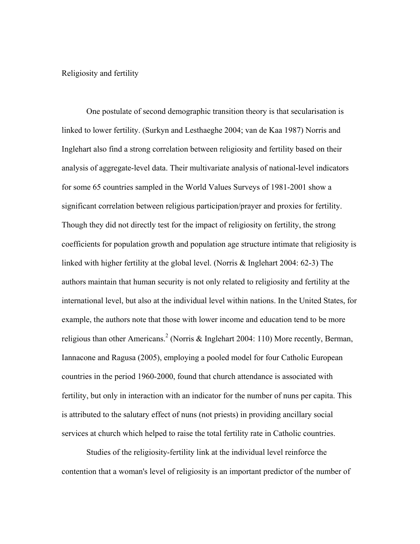# Religiosity and fertility

One postulate of second demographic transition theory is that secularisation is linked to lower fertility. (Surkyn and Lesthaeghe 2004; van de Kaa 1987) Norris and Inglehart also find a strong correlation between religiosity and fertility based on their analysis of aggregate-level data. Their multivariate analysis of national-level indicators for some 65 countries sampled in the World Values Surveys of 1981-2001 show a significant correlation between religious participation/prayer and proxies for fertility. Though they did not directly test for the impact of religiosity on fertility, the strong coefficients for population growth and population age structure intimate that religiosity is linked with higher fertility at the global level. (Norris & Inglehart 2004: 62-3) The authors maintain that human security is not only related to religiosity and fertility at the international level, but also at the individual level within nations. In the United States, for example, the authors note that those with lower income and education tend to be more religious than other Americans.<sup>2</sup> (Norris & Inglehart 2004: 110) More recently, Berman, Iannacone and Ragusa (2005), employing a pooled model for four Catholic European countries in the period 1960-2000, found that church attendance is associated with fertility, but only in interaction with an indicator for the number of nuns per capita. This is attributed to the salutary effect of nuns (not priests) in providing ancillary social services at church which helped to raise the total fertility rate in Catholic countries.

Studies of the religiosity-fertility link at the individual level reinforce the contention that a woman's level of religiosity is an important predictor of the number of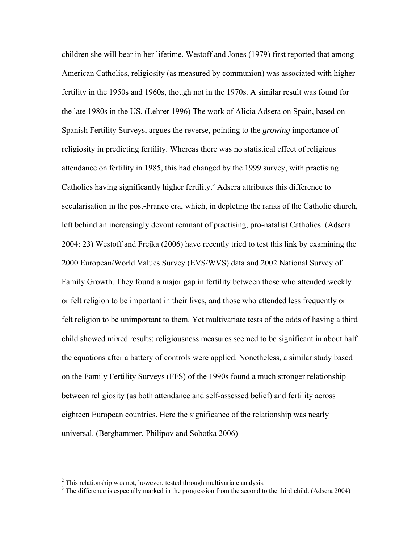children she will bear in her lifetime. Westoff and Jones (1979) first reported that among American Catholics, religiosity (as measured by communion) was associated with higher fertility in the 1950s and 1960s, though not in the 1970s. A similar result was found for the late 1980s in the US. (Lehrer 1996) The work of Alicia Adsera on Spain, based on Spanish Fertility Surveys, argues the reverse, pointing to the *growing* importance of religiosity in predicting fertility. Whereas there was no statistical effect of religious attendance on fertility in 1985, this had changed by the 1999 survey, with practising Catholics having significantly higher fertility.<sup>3</sup> Adsera attributes this difference to secularisation in the post-Franco era, which, in depleting the ranks of the Catholic church, left behind an increasingly devout remnant of practising, pro-natalist Catholics. (Adsera 2004: 23) Westoff and Frejka (2006) have recently tried to test this link by examining the 2000 European/World Values Survey (EVS/WVS) data and 2002 National Survey of Family Growth. They found a major gap in fertility between those who attended weekly or felt religion to be important in their lives, and those who attended less frequently or felt religion to be unimportant to them. Yet multivariate tests of the odds of having a third child showed mixed results: religiousness measures seemed to be significant in about half the equations after a battery of controls were applied. Nonetheless, a similar study based on the Family Fertility Surveys (FFS) of the 1990s found a much stronger relationship between religiosity (as both attendance and self-assessed belief) and fertility across eighteen European countries. Here the significance of the relationship was nearly universal. (Berghammer, Philipov and Sobotka 2006)

 $\frac{1}{2}$  $2$  This relationship was not, however, tested through multivariate analysis.

<sup>&</sup>lt;sup>3</sup> The difference is especially marked in the progression from the second to the third child. (Adsera 2004)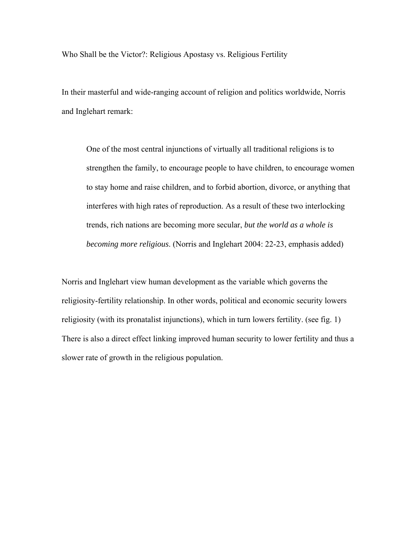Who Shall be the Victor?: Religious Apostasy vs. Religious Fertility

In their masterful and wide-ranging account of religion and politics worldwide, Norris and Inglehart remark:

One of the most central injunctions of virtually all traditional religions is to strengthen the family, to encourage people to have children, to encourage women to stay home and raise children, and to forbid abortion, divorce, or anything that interferes with high rates of reproduction. As a result of these two interlocking trends, rich nations are becoming more secular, *but the world as a whole is becoming more religious*. (Norris and Inglehart 2004: 22-23, emphasis added)

Norris and Inglehart view human development as the variable which governs the religiosity-fertility relationship. In other words, political and economic security lowers religiosity (with its pronatalist injunctions), which in turn lowers fertility. (see fig. 1) There is also a direct effect linking improved human security to lower fertility and thus a slower rate of growth in the religious population.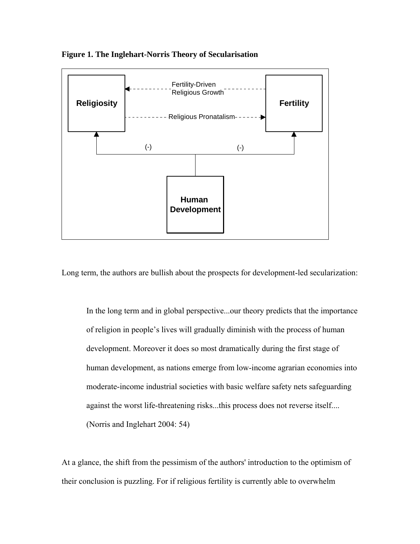

#### **Figure 1. The Inglehart-Norris Theory of Secularisation**

Long term, the authors are bullish about the prospects for development-led secularization:

In the long term and in global perspective...our theory predicts that the importance of religion in people's lives will gradually diminish with the process of human development. Moreover it does so most dramatically during the first stage of human development, as nations emerge from low-income agrarian economies into moderate-income industrial societies with basic welfare safety nets safeguarding against the worst life-threatening risks...this process does not reverse itself.... (Norris and Inglehart 2004: 54)

At a glance, the shift from the pessimism of the authors' introduction to the optimism of their conclusion is puzzling. For if religious fertility is currently able to overwhelm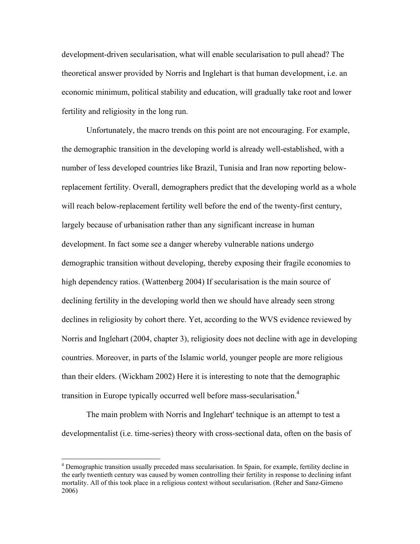development-driven secularisation, what will enable secularisation to pull ahead? The theoretical answer provided by Norris and Inglehart is that human development, i.e. an economic minimum, political stability and education, will gradually take root and lower fertility and religiosity in the long run.

Unfortunately, the macro trends on this point are not encouraging. For example, the demographic transition in the developing world is already well-established, with a number of less developed countries like Brazil, Tunisia and Iran now reporting belowreplacement fertility. Overall, demographers predict that the developing world as a whole will reach below-replacement fertility well before the end of the twenty-first century, largely because of urbanisation rather than any significant increase in human development. In fact some see a danger whereby vulnerable nations undergo demographic transition without developing, thereby exposing their fragile economies to high dependency ratios. (Wattenberg 2004) If secularisation is the main source of declining fertility in the developing world then we should have already seen strong declines in religiosity by cohort there. Yet, according to the WVS evidence reviewed by Norris and Inglehart (2004, chapter 3), religiosity does not decline with age in developing countries. Moreover, in parts of the Islamic world, younger people are more religious than their elders. (Wickham 2002) Here it is interesting to note that the demographic transition in Europe typically occurred well before mass-secularisation.<sup>4</sup>

The main problem with Norris and Inglehart' technique is an attempt to test a developmentalist (i.e. time-series) theory with cross-sectional data, often on the basis of

 4 Demographic transition usually preceded mass secularisation. In Spain, for example, fertility decline in the early twentieth century was caused by women controlling their fertility in response to declining infant mortality. All of this took place in a religious context without secularisation. (Reher and Sanz-Gimeno 2006)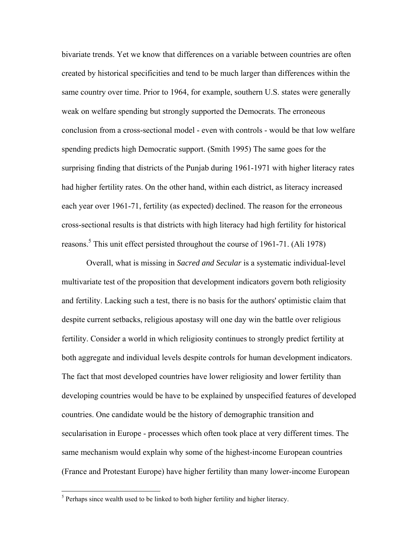bivariate trends. Yet we know that differences on a variable between countries are often created by historical specificities and tend to be much larger than differences within the same country over time. Prior to 1964, for example, southern U.S. states were generally weak on welfare spending but strongly supported the Democrats. The erroneous conclusion from a cross-sectional model - even with controls - would be that low welfare spending predicts high Democratic support. (Smith 1995) The same goes for the surprising finding that districts of the Punjab during 1961-1971 with higher literacy rates had higher fertility rates. On the other hand, within each district, as literacy increased each year over 1961-71, fertility (as expected) declined. The reason for the erroneous cross-sectional results is that districts with high literacy had high fertility for historical reasons.<sup>5</sup> This unit effect persisted throughout the course of 1961-71. (Ali 1978)

Overall, what is missing in *Sacred and Secular* is a systematic individual-level multivariate test of the proposition that development indicators govern both religiosity and fertility. Lacking such a test, there is no basis for the authors' optimistic claim that despite current setbacks, religious apostasy will one day win the battle over religious fertility. Consider a world in which religiosity continues to strongly predict fertility at both aggregate and individual levels despite controls for human development indicators. The fact that most developed countries have lower religiosity and lower fertility than developing countries would be have to be explained by unspecified features of developed countries. One candidate would be the history of demographic transition and secularisation in Europe - processes which often took place at very different times. The same mechanism would explain why some of the highest-income European countries (France and Protestant Europe) have higher fertility than many lower-income European

 $\overline{a}$ 

 $<sup>5</sup>$  Perhaps since wealth used to be linked to both higher fertility and higher literacy.</sup>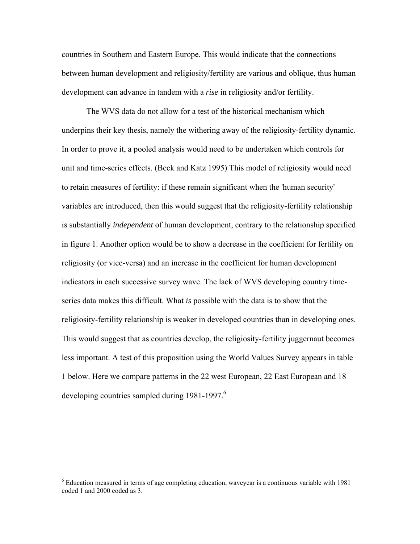countries in Southern and Eastern Europe. This would indicate that the connections between human development and religiosity/fertility are various and oblique, thus human development can advance in tandem with a *rise* in religiosity and/or fertility.

The WVS data do not allow for a test of the historical mechanism which underpins their key thesis, namely the withering away of the religiosity-fertility dynamic. In order to prove it, a pooled analysis would need to be undertaken which controls for unit and time-series effects. (Beck and Katz 1995) This model of religiosity would need to retain measures of fertility: if these remain significant when the 'human security' variables are introduced, then this would suggest that the religiosity-fertility relationship is substantially *independent* of human development, contrary to the relationship specified in figure 1. Another option would be to show a decrease in the coefficient for fertility on religiosity (or vice-versa) and an increase in the coefficient for human development indicators in each successive survey wave. The lack of WVS developing country timeseries data makes this difficult. What *is* possible with the data is to show that the religiosity-fertility relationship is weaker in developed countries than in developing ones. This would suggest that as countries develop, the religiosity-fertility juggernaut becomes less important. A test of this proposition using the World Values Survey appears in table 1 below. Here we compare patterns in the 22 west European, 22 East European and 18 developing countries sampled during  $1981-1997$ .<sup>6</sup>

 $\overline{a}$ 

<sup>&</sup>lt;sup>6</sup> Education measured in terms of age completing education, waveyear is a continuous variable with 1981 coded 1 and 2000 coded as 3.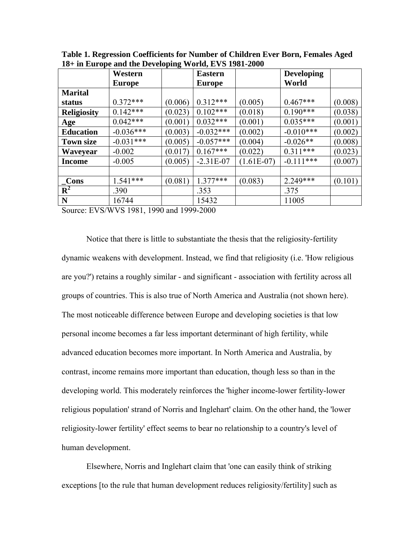|                    | Western       |         | <b>Eastern</b> |              | <b>Developing</b> |         |
|--------------------|---------------|---------|----------------|--------------|-------------------|---------|
|                    | <b>Europe</b> |         | <b>Europe</b>  |              | World             |         |
| <b>Marital</b>     |               |         |                |              |                   |         |
| status             | $0.372***$    | (0.006) | $0.312***$     | (0.005)      | $0.467***$        | (0.008) |
| <b>Religiosity</b> | $0.142***$    | (0.023) | $0.102***$     | (0.018)      | $0.190***$        | (0.038) |
| Age                | $0.042***$    | (0.001) | $0.032***$     | (0.001)      | $0.035***$        | (0.001) |
| <b>Education</b>   | $-0.036***$   | (0.003) | $-0.032***$    | (0.002)      | $-0.010***$       | (0.002) |
| <b>Town size</b>   | $-0.031***$   | (0.005) | $-0.057***$    | (0.004)      | $-0.026**$        | (0.008) |
| Waveyear           | $-0.002$      | (0.017) | $0.167***$     | (0.022)      | $0.311***$        | (0.023) |
| <b>Income</b>      | $-0.005$      | (0.005) | $-2.31E-07$    | $(1.61E-07)$ | $-0.111***$       | (0.007) |
|                    |               |         |                |              |                   |         |
| <b>Cons</b>        | $1.541***$    | (0.081) | $1.377***$     | (0.083)      | $2.249***$        | (0.101) |
| $\mathbf{R}^2$     | .390          |         | .353           |              | .375              |         |
| N                  | 16744         |         | 15432          |              | 11005             |         |

**Table 1. Regression Coefficients for Number of Children Ever Born, Females Aged 18+ in Europe and the Developing World, EVS 1981-2000** 

Source: EVS/WVS 1981, 1990 and 1999-2000

Notice that there is little to substantiate the thesis that the religiosity-fertility dynamic weakens with development. Instead, we find that religiosity (i.e. 'How religious are you?') retains a roughly similar - and significant - association with fertility across all groups of countries. This is also true of North America and Australia (not shown here). The most noticeable difference between Europe and developing societies is that low personal income becomes a far less important determinant of high fertility, while advanced education becomes more important. In North America and Australia, by contrast, income remains more important than education, though less so than in the developing world. This moderately reinforces the 'higher income-lower fertility-lower religious population' strand of Norris and Inglehart' claim. On the other hand, the 'lower religiosity-lower fertility' effect seems to bear no relationship to a country's level of human development.

Elsewhere, Norris and Inglehart claim that 'one can easily think of striking exceptions [to the rule that human development reduces religiosity/fertility] such as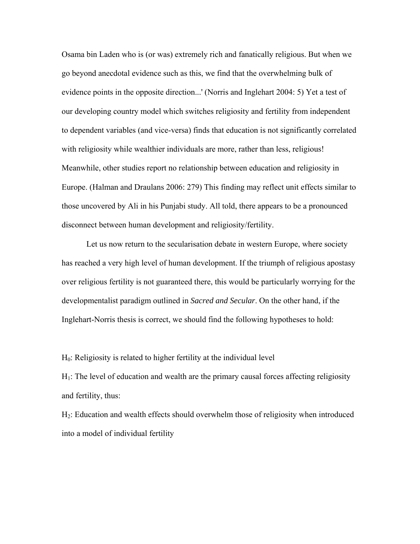Osama bin Laden who is (or was) extremely rich and fanatically religious. But when we go beyond anecdotal evidence such as this, we find that the overwhelming bulk of evidence points in the opposite direction...' (Norris and Inglehart 2004: 5) Yet a test of our developing country model which switches religiosity and fertility from independent to dependent variables (and vice-versa) finds that education is not significantly correlated with religiosity while wealthier individuals are more, rather than less, religious! Meanwhile, other studies report no relationship between education and religiosity in Europe. (Halman and Draulans 2006: 279) This finding may reflect unit effects similar to those uncovered by Ali in his Punjabi study. All told, there appears to be a pronounced disconnect between human development and religiosity/fertility.

Let us now return to the secularisation debate in western Europe, where society has reached a very high level of human development. If the triumph of religious apostasy over religious fertility is not guaranteed there, this would be particularly worrying for the developmentalist paradigm outlined in *Sacred and Secular*. On the other hand, if the Inglehart-Norris thesis is correct, we should find the following hypotheses to hold:

H0: Religiosity is related to higher fertility at the individual level

 $H<sub>1</sub>$ : The level of education and wealth are the primary causal forces affecting religiosity and fertility, thus:

H2: Education and wealth effects should overwhelm those of religiosity when introduced into a model of individual fertility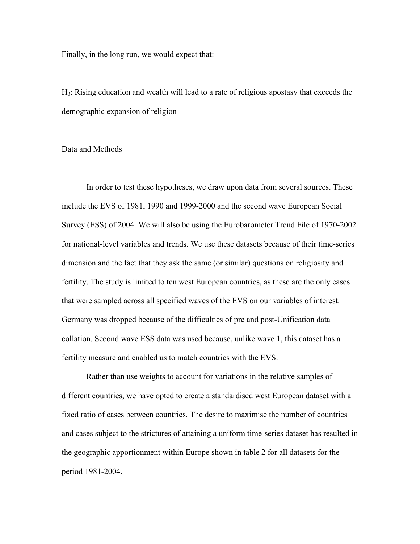Finally, in the long run, we would expect that:

 $H_3$ : Rising education and wealth will lead to a rate of religious apostasy that exceeds the demographic expansion of religion

# Data and Methods

 In order to test these hypotheses, we draw upon data from several sources. These include the EVS of 1981, 1990 and 1999-2000 and the second wave European Social Survey (ESS) of 2004. We will also be using the Eurobarometer Trend File of 1970-2002 for national-level variables and trends. We use these datasets because of their time-series dimension and the fact that they ask the same (or similar) questions on religiosity and fertility. The study is limited to ten west European countries, as these are the only cases that were sampled across all specified waves of the EVS on our variables of interest. Germany was dropped because of the difficulties of pre and post-Unification data collation. Second wave ESS data was used because, unlike wave 1, this dataset has a fertility measure and enabled us to match countries with the EVS.

Rather than use weights to account for variations in the relative samples of different countries, we have opted to create a standardised west European dataset with a fixed ratio of cases between countries. The desire to maximise the number of countries and cases subject to the strictures of attaining a uniform time-series dataset has resulted in the geographic apportionment within Europe shown in table 2 for all datasets for the period 1981-2004.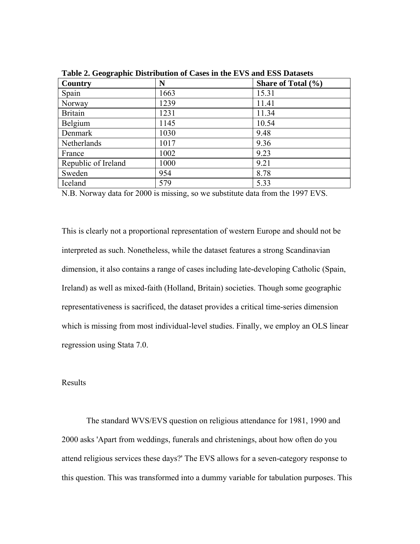| Country             | N    | Share of Total $(\% )$ |
|---------------------|------|------------------------|
| Spain               | 1663 | 15.31                  |
| Norway              | 1239 | 11.41                  |
| <b>Britain</b>      | 1231 | 11.34                  |
| Belgium             | 1145 | 10.54                  |
| Denmark             | 1030 | 9.48                   |
| Netherlands         | 1017 | 9.36                   |
| France              | 1002 | 9.23                   |
| Republic of Ireland | 1000 | 9.21                   |
| Sweden              | 954  | 8.78                   |
| Iceland             | 579  | 5.33                   |

**Table 2. Geographic Distribution of Cases in the EVS and ESS Datasets** 

N.B. Norway data for 2000 is missing, so we substitute data from the 1997 EVS.

This is clearly not a proportional representation of western Europe and should not be interpreted as such. Nonetheless, while the dataset features a strong Scandinavian dimension, it also contains a range of cases including late-developing Catholic (Spain, Ireland) as well as mixed-faith (Holland, Britain) societies. Though some geographic representativeness is sacrificed, the dataset provides a critical time-series dimension which is missing from most individual-level studies. Finally, we employ an OLS linear regression using Stata 7.0.

### Results

 The standard WVS/EVS question on religious attendance for 1981, 1990 and 2000 asks 'Apart from weddings, funerals and christenings, about how often do you attend religious services these days?' The EVS allows for a seven-category response to this question. This was transformed into a dummy variable for tabulation purposes. This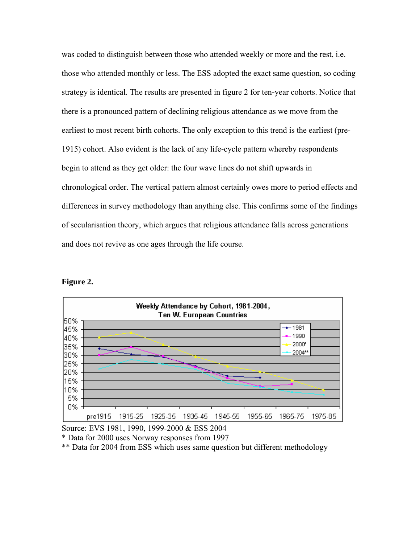was coded to distinguish between those who attended weekly or more and the rest, i.e. those who attended monthly or less. The ESS adopted the exact same question, so coding strategy is identical. The results are presented in figure 2 for ten-year cohorts. Notice that there is a pronounced pattern of declining religious attendance as we move from the earliest to most recent birth cohorts. The only exception to this trend is the earliest (pre-1915) cohort. Also evident is the lack of any life-cycle pattern whereby respondents begin to attend as they get older: the four wave lines do not shift upwards in chronological order. The vertical pattern almost certainly owes more to period effects and differences in survey methodology than anything else. This confirms some of the findings of secularisation theory, which argues that religious attendance falls across generations and does not revive as one ages through the life course.





Source: EVS 1981, 1990, 1999-2000 & ESS 2004 \* Data for 2000 uses Norway responses from 1997

\*\* Data for 2004 from ESS which uses same question but different methodology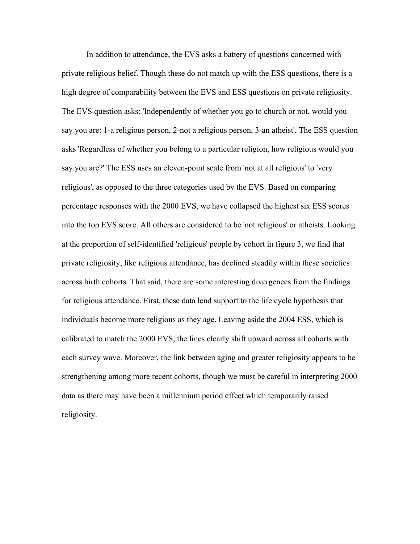In addition to attendance, the EVS asks a battery of questions concerned with private religious belief. Though these do not match up with the ESS questions, there is a high degree of comparability between the EVS and ESS questions on private religiosity. The EVS question asks: 'Independently of whether you go to church or not, would you say you are: 1-a religious person, 2-not a religious person, 3-an atheist'. The ESS question asks 'Regardless of whether you belong to a particular religion, how religious would you say you are?' The ESS uses an eleven-point scale from 'not at all religious' to 'very religious', as opposed to the three categories used by the EVS. Based on comparing percentage responses with the 2000 EVS, we have collapsed the highest six ESS scores into the top EVS score. All others are considered to be 'not religious' or atheists. Looking at the proportion of self-identified 'religious' people by cohort in figure 3, we find that private religiosity, like religious attendance, has declined steadily within these societies across birth cohorts. That said, there are some interesting divergences from the findings for religious attendance. First, these data lend support to the life cycle hypothesis that individuals become more religious as they age. Leaving aside the 2004 ESS, which is calibrated to match the 2000 EVS, the lines clearly shift upward across all cohorts with each survey wave. Moreover, the link between aging and greater religiosity appears to be strengthening among more recent cohorts, though we must be careful in interpreting 2000 data as there may have been a millennium period effect which temporarily raised religiosity.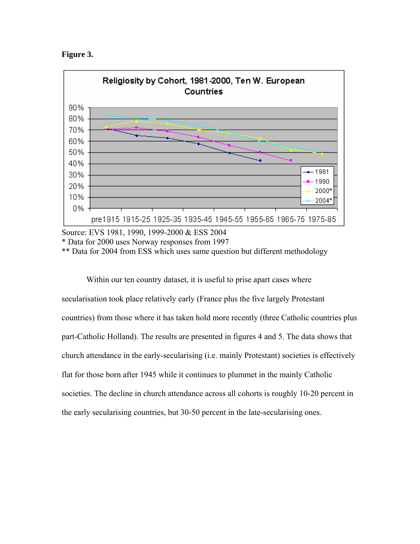**Figure 3.** 



<sup>\*</sup> Data for 2000 uses Norway responses from 1997

\*\* Data for 2004 from ESS which uses same question but different methodology

 Within our ten country dataset, it is useful to prise apart cases where secularisation took place relatively early (France plus the five largely Protestant countries) from those where it has taken hold more recently (three Catholic countries plus part-Catholic Holland). The results are presented in figures 4 and 5. The data shows that church attendance in the early-secularising (i.e. mainly Protestant) societies is effectively flat for those born after 1945 while it continues to plummet in the mainly Catholic societies. The decline in church attendance across all cohorts is roughly 10-20 percent in the early secularising countries, but 30-50 percent in the late-secularising ones.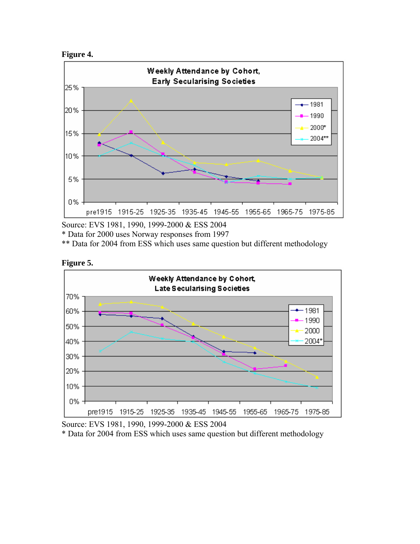



Source: EVS 1981, 1990, 1999-2000 & ESS 2004

\* Data for 2000 uses Norway responses from 1997

\*\* Data for 2004 from ESS which uses same question but different methodology





Source: EVS 1981, 1990, 1999-2000 & ESS 2004

\* Data for 2004 from ESS which uses same question but different methodology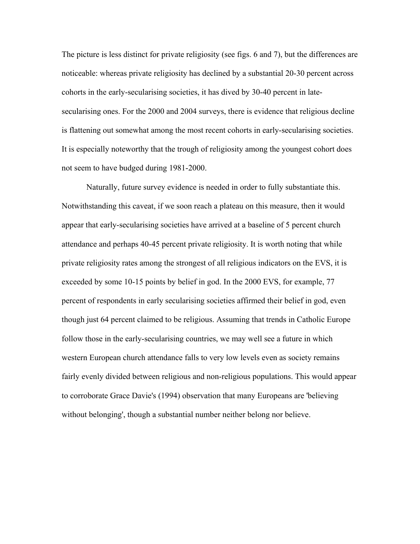The picture is less distinct for private religiosity (see figs. 6 and 7), but the differences are noticeable: whereas private religiosity has declined by a substantial 20-30 percent across cohorts in the early-secularising societies, it has dived by 30-40 percent in latesecularising ones. For the 2000 and 2004 surveys, there is evidence that religious decline is flattening out somewhat among the most recent cohorts in early-secularising societies. It is especially noteworthy that the trough of religiosity among the youngest cohort does not seem to have budged during 1981-2000.

Naturally, future survey evidence is needed in order to fully substantiate this. Notwithstanding this caveat, if we soon reach a plateau on this measure, then it would appear that early-secularising societies have arrived at a baseline of 5 percent church attendance and perhaps 40-45 percent private religiosity. It is worth noting that while private religiosity rates among the strongest of all religious indicators on the EVS, it is exceeded by some 10-15 points by belief in god. In the 2000 EVS, for example, 77 percent of respondents in early secularising societies affirmed their belief in god, even though just 64 percent claimed to be religious. Assuming that trends in Catholic Europe follow those in the early-secularising countries, we may well see a future in which western European church attendance falls to very low levels even as society remains fairly evenly divided between religious and non-religious populations. This would appear to corroborate Grace Davie's (1994) observation that many Europeans are 'believing without belonging', though a substantial number neither belong nor believe.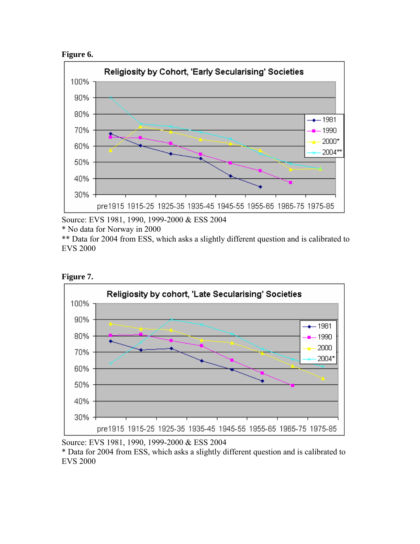



Source: EVS 1981, 1990, 1999-2000 & ESS 2004

\* No data for Norway in 2000

\*\* Data for 2004 from ESS, which asks a slightly different question and is calibrated to EVS 2000





Source: EVS 1981, 1990, 1999-2000 & ESS 2004

\* Data for 2004 from ESS, which asks a slightly different question and is calibrated to EVS 2000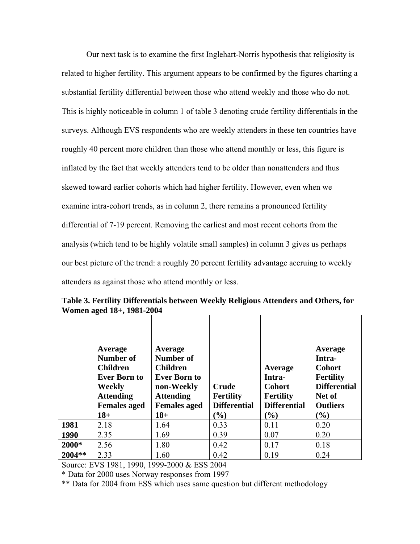Our next task is to examine the first Inglehart-Norris hypothesis that religiosity is related to higher fertility. This argument appears to be confirmed by the figures charting a substantial fertility differential between those who attend weekly and those who do not. This is highly noticeable in column 1 of table 3 denoting crude fertility differentials in the surveys. Although EVS respondents who are weekly attenders in these ten countries have roughly 40 percent more children than those who attend monthly or less, this figure is inflated by the fact that weekly attenders tend to be older than nonattenders and thus skewed toward earlier cohorts which had higher fertility. However, even when we examine intra-cohort trends, as in column 2, there remains a pronounced fertility differential of 7-19 percent. Removing the earliest and most recent cohorts from the analysis (which tend to be highly volatile small samples) in column 3 gives us perhaps our best picture of the trend: a roughly 20 percent fertility advantage accruing to weekly attenders as against those who attend monthly or less.

|          | Average             | Average             |                     |                     | Average             |
|----------|---------------------|---------------------|---------------------|---------------------|---------------------|
|          | Number of           | Number of           |                     |                     | Intra-              |
|          | <b>Children</b>     | <b>Children</b>     |                     | Average             | <b>Cohort</b>       |
|          | <b>Ever Born to</b> | <b>Ever Born to</b> |                     | Intra-              | <b>Fertility</b>    |
|          | Weekly              | non-Weekly          | <b>Crude</b>        | <b>Cohort</b>       | <b>Differential</b> |
|          | <b>Attending</b>    | <b>Attending</b>    | <b>Fertility</b>    | <b>Fertility</b>    | Net of              |
|          | <b>Females aged</b> | <b>Females aged</b> | <b>Differential</b> | <b>Differential</b> | <b>Outliers</b>     |
|          | $18+$               | $18+$               | $(\%)$              | (%)                 | (%)                 |
| 1981     | 2.18                | 1.64                | 0.33                | 0.11                | 0.20                |
| 1990     | 2.35                | 1.69                | 0.39                | 0.07                | 0.20                |
| 2000*    | 2.56                | 1.80                | 0.42                | 0.17                | 0.18                |
| $2004**$ | 2.33                | 1.60                | 0.42                | 0.19                | 0.24                |

**Table 3. Fertility Differentials between Weekly Religious Attenders and Others, for Women aged 18+, 1981-2004** 

Source: EVS 1981, 1990, 1999-2000 & ESS 2004

\* Data for 2000 uses Norway responses from 1997

\*\* Data for 2004 from ESS which uses same question but different methodology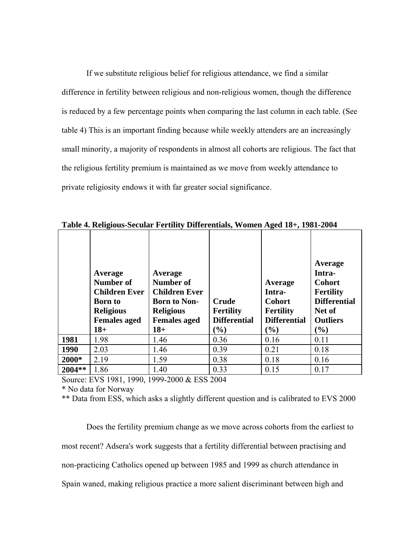If we substitute religious belief for religious attendance, we find a similar difference in fertility between religious and non-religious women, though the difference is reduced by a few percentage points when comparing the last column in each table. (See table 4) This is an important finding because while weekly attenders are an increasingly small minority, a majority of respondents in almost all cohorts are religious. The fact that the religious fertility premium is maintained as we move from weekly attendance to private religiosity endows it with far greater social significance.

|          | Average<br>Number of<br><b>Children Ever</b><br><b>Born</b> to<br><b>Religious</b><br><b>Females aged</b><br>$18+$ | Average<br>Number of<br><b>Children Ever</b><br><b>Born to Non-</b><br><b>Religious</b><br><b>Females aged</b><br>$18+$ | <b>Crude</b><br><b>Fertility</b><br><b>Differential</b><br>$\left( \frac{6}{2} \right)$ | Average<br>Intra-<br><b>Cohort</b><br><b>Fertility</b><br><b>Differential</b><br>$(\%)$ | Average<br>Intra-<br><b>Cohort</b><br><b>Fertility</b><br><b>Differential</b><br>Net of<br><b>Outliers</b><br>(%) |
|----------|--------------------------------------------------------------------------------------------------------------------|-------------------------------------------------------------------------------------------------------------------------|-----------------------------------------------------------------------------------------|-----------------------------------------------------------------------------------------|-------------------------------------------------------------------------------------------------------------------|
| 1981     | 1.98                                                                                                               | 1.46                                                                                                                    | 0.36                                                                                    | 0.16                                                                                    | 0.11                                                                                                              |
| 1990     | 2.03                                                                                                               | 1.46                                                                                                                    | 0.39                                                                                    | 0.21                                                                                    | 0.18                                                                                                              |
| 2000*    | 2.19                                                                                                               | 1.59                                                                                                                    | 0.38                                                                                    | 0.18                                                                                    | 0.16                                                                                                              |
| $2004**$ | 1.86                                                                                                               | 1.40                                                                                                                    | 0.33                                                                                    | 0.15                                                                                    | 0.17                                                                                                              |

**Table 4. Religious-Secular Fertility Differentials, Women Aged 18+, 1981-2004** 

Source: EVS 1981, 1990, 1999-2000 & ESS 2004

\* No data for Norway

\*\* Data from ESS, which asks a slightly different question and is calibrated to EVS 2000

 Does the fertility premium change as we move across cohorts from the earliest to most recent? Adsera's work suggests that a fertility differential between practising and non-practicing Catholics opened up between 1985 and 1999 as church attendance in Spain waned, making religious practice a more salient discriminant between high and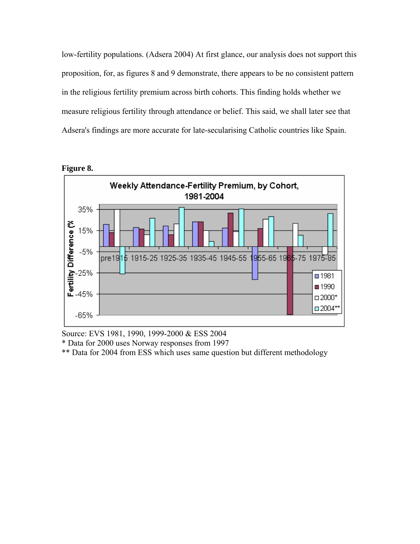low-fertility populations. (Adsera 2004) At first glance, our analysis does not support this proposition, for, as figures 8 and 9 demonstrate, there appears to be no consistent pattern in the religious fertility premium across birth cohorts. This finding holds whether we measure religious fertility through attendance or belief. This said, we shall later see that Adsera's findings are more accurate for late-secularising Catholic countries like Spain.



**Figure 8.** 

Source: EVS 1981, 1990, 1999-2000 & ESS 2004

\* Data for 2000 uses Norway responses from 1997

\*\* Data for 2004 from ESS which uses same question but different methodology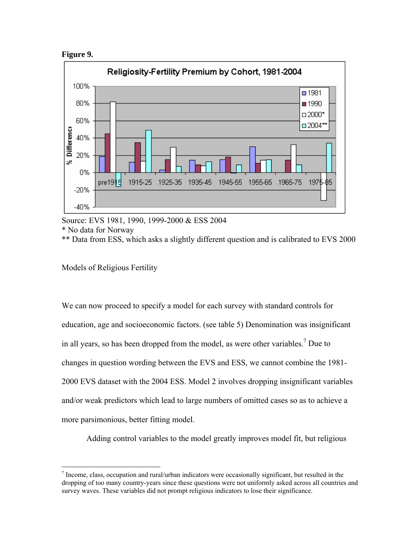



Source: EVS 1981, 1990, 1999-2000 & ESS 2004

\* No data for Norway

1

\*\* Data from ESS, which asks a slightly different question and is calibrated to EVS 2000

Models of Religious Fertility

We can now proceed to specify a model for each survey with standard controls for education, age and socioeconomic factors. (see table 5) Denomination was insignificant in all years, so has been dropped from the model, as were other variables.<sup>7</sup> Due to changes in question wording between the EVS and ESS, we cannot combine the 1981- 2000 EVS dataset with the 2004 ESS. Model 2 involves dropping insignificant variables and/or weak predictors which lead to large numbers of omitted cases so as to achieve a more parsimonious, better fitting model.

Adding control variables to the model greatly improves model fit, but religious

 $<sup>7</sup>$  Income, class, occupation and rural/urban indicators were occasionally significant, but resulted in the</sup> dropping of too many country-years since these questions were not uniformly asked across all countries and survey waves. These variables did not prompt religious indicators to lose their significance.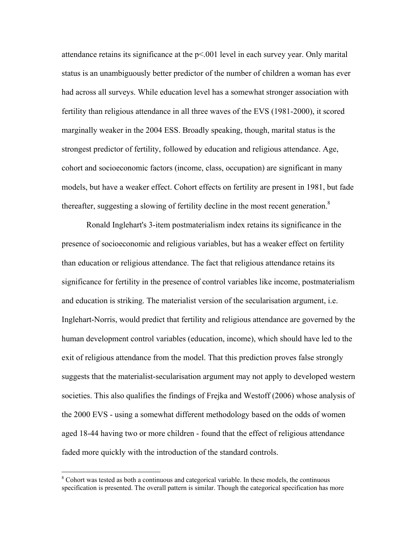attendance retains its significance at the  $p<001$  level in each survey year. Only marital status is an unambiguously better predictor of the number of children a woman has ever had across all surveys. While education level has a somewhat stronger association with fertility than religious attendance in all three waves of the EVS (1981-2000), it scored marginally weaker in the 2004 ESS. Broadly speaking, though, marital status is the strongest predictor of fertility, followed by education and religious attendance. Age, cohort and socioeconomic factors (income, class, occupation) are significant in many models, but have a weaker effect. Cohort effects on fertility are present in 1981, but fade thereafter, suggesting a slowing of fertility decline in the most recent generation.<sup>8</sup>

Ronald Inglehart's 3-item postmaterialism index retains its significance in the presence of socioeconomic and religious variables, but has a weaker effect on fertility than education or religious attendance. The fact that religious attendance retains its significance for fertility in the presence of control variables like income, postmaterialism and education is striking. The materialist version of the secularisation argument, i.e. Inglehart-Norris, would predict that fertility and religious attendance are governed by the human development control variables (education, income), which should have led to the exit of religious attendance from the model. That this prediction proves false strongly suggests that the materialist-secularisation argument may not apply to developed western societies. This also qualifies the findings of Frejka and Westoff (2006) whose analysis of the 2000 EVS - using a somewhat different methodology based on the odds of women aged 18-44 having two or more children - found that the effect of religious attendance faded more quickly with the introduction of the standard controls.

 $\overline{a}$ 

<sup>&</sup>lt;sup>8</sup> Cohort was tested as both a continuous and categorical variable. In these models, the continuous specification is presented. The overall pattern is similar. Though the categorical specification has more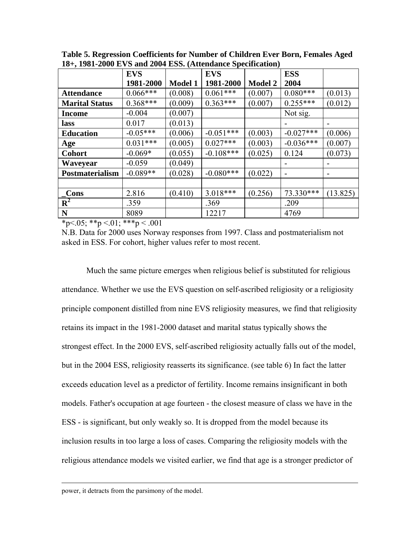|                        | <b>EVS</b> |                | <b>EVS</b>  |                | <b>ESS</b>  |          |
|------------------------|------------|----------------|-------------|----------------|-------------|----------|
|                        | 1981-2000  | <b>Model 1</b> | 1981-2000   | <b>Model 2</b> | 2004        |          |
| <b>Attendance</b>      | $0.066***$ | (0.008)        | $0.061***$  | (0.007)        | $0.080***$  | (0.013)  |
| <b>Marital Status</b>  | $0.368***$ | (0.009)        | $0.363***$  | (0.007)        | $0.255***$  | (0.012)  |
| <b>Income</b>          | $-0.004$   | (0.007)        |             |                | Not sig.    |          |
| lass                   | 0.017      | (0.013)        |             |                |             |          |
| <b>Education</b>       | $-0.05***$ | (0.006)        | $-0.051***$ | (0.003)        | $-0.027***$ | (0.006)  |
| Age                    | $0.031***$ | (0.005)        | $0.027***$  | (0.003)        | $-0.036***$ | (0.007)  |
| <b>Cohort</b>          | $-0.069*$  | (0.055)        | $-0.108***$ | (0.025)        | 0.124       | (0.073)  |
| Waveyear               | $-0.059$   | (0.049)        |             |                |             |          |
| <b>Postmaterialism</b> | $-0.089**$ | (0.028)        | $-0.080***$ | (0.022)        | -           |          |
|                        |            |                |             |                |             |          |
| Cons                   | 2.816      | (0.410)        | 3.018***    | (0.256)        | 73.330***   | (13.825) |
| $\mathbf{R}^2$         | .359       |                | .369        |                | .209        |          |
| ${\bf N}$              | 8089       |                | 12217       |                | 4769        |          |

**Table 5. Regression Coefficients for Number of Children Ever Born, Females Aged 18+, 1981-2000 EVS and 2004 ESS. (Attendance Specification)** 

\*p<.05; \*\*p <.01; \*\*\*p <.001

N.B. Data for 2000 uses Norway responses from 1997. Class and postmaterialism not asked in ESS. For cohort, higher values refer to most recent.

Much the same picture emerges when religious belief is substituted for religious attendance. Whether we use the EVS question on self-ascribed religiosity or a religiosity principle component distilled from nine EVS religiosity measures, we find that religiosity retains its impact in the 1981-2000 dataset and marital status typically shows the strongest effect. In the 2000 EVS, self-ascribed religiosity actually falls out of the model, but in the 2004 ESS, religiosity reasserts its significance. (see table 6) In fact the latter exceeds education level as a predictor of fertility. Income remains insignificant in both models. Father's occupation at age fourteen - the closest measure of class we have in the ESS - is significant, but only weakly so. It is dropped from the model because its inclusion results in too large a loss of cases. Comparing the religiosity models with the religious attendance models we visited earlier, we find that age is a stronger predictor of

power, it detracts from the parsimony of the model.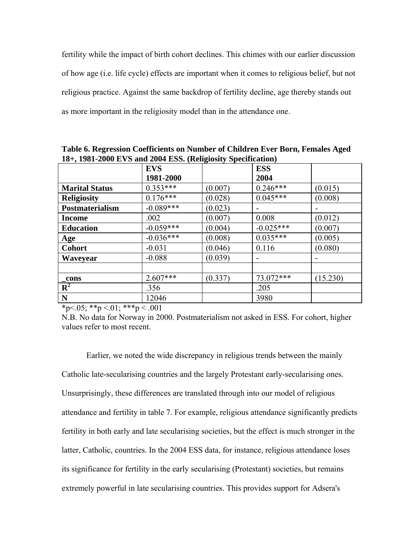fertility while the impact of birth cohort declines. This chimes with our earlier discussion of how age (i.e. life cycle) effects are important when it comes to religious belief, but not religious practice. Against the same backdrop of fertility decline, age thereby stands out as more important in the religiosity model than in the attendance one.

| $101, 1201$ -2000 E VD and 2004 EDD. (Kenglosny Dpechreation) |             |         |             |          |
|---------------------------------------------------------------|-------------|---------|-------------|----------|
|                                                               | <b>EVS</b>  |         | <b>ESS</b>  |          |
|                                                               | 1981-2000   |         | 2004        |          |
| <b>Marital Status</b>                                         | $0.353***$  | (0.007) | $0.246***$  | (0.015)  |
| <b>Religiosity</b>                                            | $0.176***$  | (0.028) | $0.045***$  | (0.008)  |
| <b>Postmaterialism</b>                                        | $-0.089***$ | (0.023) |             |          |
| <b>Income</b>                                                 | .002        | (0.007) | 0.008       | (0.012)  |
| <b>Education</b>                                              | $-0.059***$ | (0.004) | $-0.025***$ | (0.007)  |
| Age                                                           | $-0.036***$ | (0.008) | $0.035***$  | (0.005)  |
| <b>Cohort</b>                                                 | $-0.031$    | (0.046) | 0.116       | (0.080)  |
| Waveyear                                                      | $-0.088$    | (0.039) |             |          |
|                                                               |             |         |             |          |
| cons                                                          | $2.607***$  | (0.337) | 73.072***   | (15.230) |
| $\mathbf{R}^2$                                                | .356        |         | .205        |          |
| $\mathbf N$                                                   | 12046       |         | 3980        |          |

**Table 6. Regression Coefficients on Number of Children Ever Born, Females Aged 18+, 1981-2000 EVS and 2004 ESS. (Religiosity Specification)**

 $*p<.05$ ;  $*p<.01$ ;  $***p<.001$ 

N.B. No data for Norway in 2000. Postmaterialism not asked in ESS. For cohort, higher values refer to most recent.

 Earlier, we noted the wide discrepancy in religious trends between the mainly Catholic late-secularising countries and the largely Protestant early-secularising ones. Unsurprisingly, these differences are translated through into our model of religious attendance and fertility in table 7. For example, religious attendance significantly predicts fertility in both early and late secularising societies, but the effect is much stronger in the latter, Catholic, countries. In the 2004 ESS data, for instance, religious attendance loses its significance for fertility in the early secularising (Protestant) societies, but remains extremely powerful in late secularising countries. This provides support for Adsera's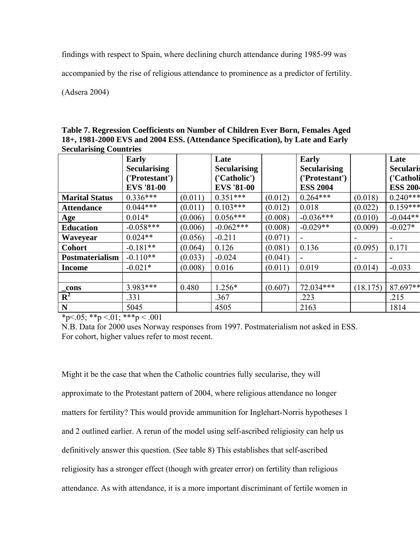findings with respect to Spain, where declining church attendance during 1985-99 was

accompanied by the rise of religious attendance to prominence as a predictor of fertility.

(Adsera 2004)

| Table 7. Regression Coefficients on Number of Children Ever Born, Females Aged |
|--------------------------------------------------------------------------------|
| 18+, 1981-2000 EVS and 2004 ESS. (Attendance Specification), by Late and Early |
| <b>Secularising Countries</b>                                                  |

|                        | <b>Early</b>        |         | Late                |         | <b>Early</b>        |          | Late             |
|------------------------|---------------------|---------|---------------------|---------|---------------------|----------|------------------|
|                        | <b>Secularising</b> |         | <b>Secularising</b> |         | <b>Secularising</b> |          | <b>Secularis</b> |
|                        | ('Protestant')      |         | ('Catholic')        |         | ('Protestant')      |          | ('Catholi        |
|                        | <b>EVS '81-00</b>   |         | <b>EVS '81-00</b>   |         | <b>ESS 2004</b>     |          | <b>ESS 2004</b>  |
| <b>Marital Status</b>  | $0.336***$          | (0.011) | $0.351***$          | (0.012) | $0.264***$          | (0.018)  | $0.240***$       |
| <b>Attendance</b>      | $0.044***$          | (0.011) | $0.103***$          | (0.012) | 0.018               | (0.022)  | $0.159***$       |
| Age                    | $0.014*$            | (0.006) | $0.056***$          | (0.008) | $-0.036***$         | (0.010)  | $-0.044**$       |
| <b>Education</b>       | $-0.058***$         | (0.006) | $-0.062***$         | (0.008) | $-0.029**$          | (0.009)  | $-0.027*$        |
| Waveyear               | $0.024**$           | (0.056) | $-0.211$            | (0.071) | -                   |          |                  |
| <b>Cohort</b>          | $-0.181**$          | (0.064) | 0.126               | (0.081) | 0.136               | (0.095)  | 0.171            |
| <b>Postmaterialism</b> | $-0.110**$          | (0.033) | $-0.024$            | (0.041) | -                   |          | ۰                |
| <b>Income</b>          | $-0.021*$           | (0.008) | 0.016               | (0.011) | 0.019               | (0.014)  | $-0.033$         |
|                        |                     |         |                     |         |                     |          |                  |
| cons                   | 3.983***            | 0.480   | 1.256*              | (0.607) | 72.034***           | (18.175) | 87.697**         |
| $R^2$                  | .331                |         | .367                |         | .223                |          | .215             |
| $\mathbf N$            | 5045                |         | 4505                |         | 2163                |          | 1814             |

\*p<.05; \*\*p <.01; \*\*\*p <.001

N.B. Data for 2000 uses Norway responses from 1997. Postmaterialism not asked in ESS. For cohort, higher values refer to most recent.

Might it be the case that when the Catholic countries fully secularise, they will approximate to the Protestant pattern of 2004, where religious attendance no longer matters for fertility? This would provide ammunition for Inglehart-Norris hypotheses 1 and 2 outlined earlier. A rerun of the model using self-ascribed religiosity can help us definitively answer this question. (See table 8) This establishes that self-ascribed religiosity has a stronger effect (though with greater error) on fertility than religious attendance. As with attendance, it is a more important discriminant of fertile women in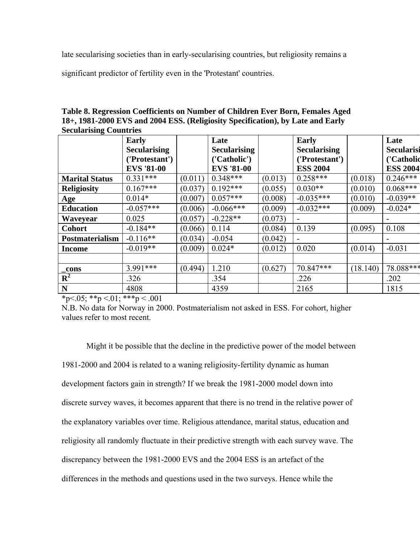late secularising societies than in early-secularising countries, but religiosity remains a

significant predictor of fertility even in the 'Protestant' countries.

| <b>Secularising Countries</b> |                     |         |                     |         |                     |          |                 |
|-------------------------------|---------------------|---------|---------------------|---------|---------------------|----------|-----------------|
|                               | <b>Early</b>        |         | Late                |         | <b>Early</b>        |          | Late            |
|                               | <b>Secularising</b> |         | <b>Secularising</b> |         | <b>Secularising</b> |          | Secularisi      |
|                               | ('Protestant')      |         | ('Catholic')        |         | ('Protestant')      |          | ('Catholic      |
|                               | <b>EVS '81-00</b>   |         | <b>EVS '81-00</b>   |         | <b>ESS 2004</b>     |          | <b>ESS 2004</b> |
| <b>Marital Status</b>         | $0.331***$          | (0.011) | $0.348***$          | (0.013) | $0.258***$          | (0.018)  | $0.246***$      |
| <b>Religiosity</b>            | $0.167***$          | (0.037) | $0.192***$          | (0.055) | $0.030**$           | (0.010)  | $0.068***$      |
| Age                           | $0.014*$            | (0.007) | $0.057***$          | (0.008) | $-0.035***$         | (0.010)  | $-0.039**$      |
| <b>Education</b>              | $-0.057***$         | (0.006) | $-0.066***$         | (0.009) | $-0.032***$         | (0.009)  | $-0.024*$       |
| Waveyear                      | 0.025               | (0.057) | $-0.228**$          | (0.073) |                     |          |                 |
| <b>Cohort</b>                 | $-0.184**$          | (0.066) | 0.114               | (0.084) | 0.139               | (0.095)  | 0.108           |
| <b>Postmaterialism</b>        | $-0.116**$          | (0.034) | $-0.054$            | (0.042) |                     |          |                 |
| <b>Income</b>                 | $-0.019**$          | (0.009) | $0.024*$            | (0.012) | 0.020               | (0.014)  | $-0.031$        |
|                               |                     |         |                     |         |                     |          |                 |
| _cons                         | $3.991***$          | (0.494) | 1.210               | (0.627) | 70.847***           | (18.140) | 78.088***       |
| ${\bf R}^2$                   | .326                |         | .354                |         | .226                |          | .202            |
| N                             | 4808                |         | 4359                |         | 2165                |          | 1815            |

**Table 8. Regression Coefficients on Number of Children Ever Born, Females Aged 18+, 1981-2000 EVS and 2004 ESS. (Religiosity Specification), by Late and Early** 

\*p<.05; \*\*p <.01; \*\*\*p < .001

N.B. No data for Norway in 2000. Postmaterialism not asked in ESS. For cohort, higher values refer to most recent.

Might it be possible that the decline in the predictive power of the model between 1981-2000 and 2004 is related to a waning religiosity-fertility dynamic as human development factors gain in strength? If we break the 1981-2000 model down into discrete survey waves, it becomes apparent that there is no trend in the relative power of the explanatory variables over time. Religious attendance, marital status, education and religiosity all randomly fluctuate in their predictive strength with each survey wave. The discrepancy between the 1981-2000 EVS and the 2004 ESS is an artefact of the differences in the methods and questions used in the two surveys. Hence while the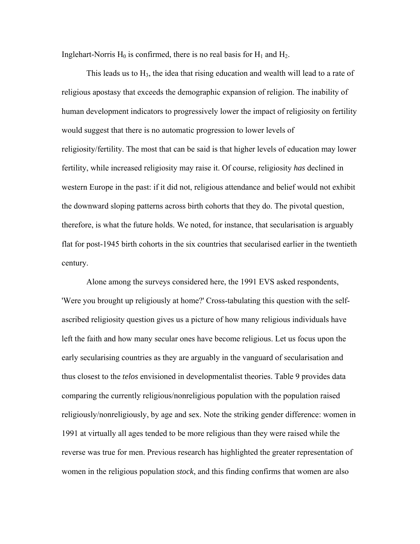Inglehart-Norris  $H_0$  is confirmed, there is no real basis for  $H_1$  and  $H_2$ .

This leads us to  $H_3$ , the idea that rising education and wealth will lead to a rate of religious apostasy that exceeds the demographic expansion of religion. The inability of human development indicators to progressively lower the impact of religiosity on fertility would suggest that there is no automatic progression to lower levels of religiosity/fertility. The most that can be said is that higher levels of education may lower fertility, while increased religiosity may raise it. Of course, religiosity *has* declined in western Europe in the past: if it did not, religious attendance and belief would not exhibit the downward sloping patterns across birth cohorts that they do. The pivotal question, therefore, is what the future holds. We noted, for instance, that secularisation is arguably flat for post-1945 birth cohorts in the six countries that secularised earlier in the twentieth century.

 Alone among the surveys considered here, the 1991 EVS asked respondents, 'Were you brought up religiously at home?' Cross-tabulating this question with the selfascribed religiosity question gives us a picture of how many religious individuals have left the faith and how many secular ones have become religious. Let us focus upon the early secularising countries as they are arguably in the vanguard of secularisation and thus closest to the *telos* envisioned in developmentalist theories. Table 9 provides data comparing the currently religious/nonreligious population with the population raised religiously/nonreligiously, by age and sex. Note the striking gender difference: women in 1991 at virtually all ages tended to be more religious than they were raised while the reverse was true for men. Previous research has highlighted the greater representation of women in the religious population *stock*, and this finding confirms that women are also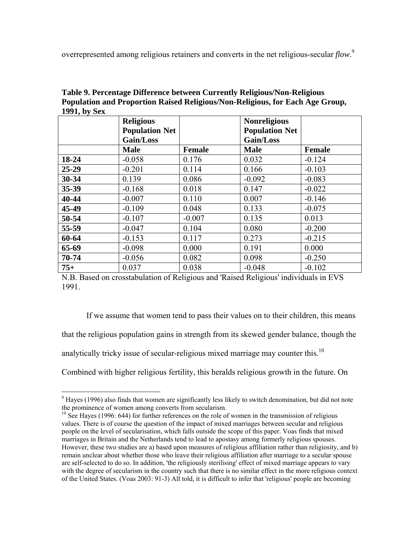overrepresented among religious retainers and converts in the net religious-secular *flow*. 9

|           | <b>Religious</b><br><b>Population Net</b> |               | <b>Nonreligious</b><br><b>Population Net</b> |               |
|-----------|-------------------------------------------|---------------|----------------------------------------------|---------------|
|           | Gain/Loss                                 |               | Gain/Loss                                    |               |
|           | <b>Male</b>                               | <b>Female</b> | <b>Male</b>                                  | <b>Female</b> |
| 18-24     | $-0.058$                                  | 0.176         | 0.032                                        | $-0.124$      |
| $25 - 29$ | $-0.201$                                  | 0.114         | 0.166                                        | $-0.103$      |
| 30-34     | 0.139                                     | 0.086         | $-0.092$                                     | $-0.083$      |
| 35-39     | $-0.168$                                  | 0.018         | 0.147                                        | $-0.022$      |
| 40-44     | $-0.007$                                  | 0.110         | 0.007                                        | $-0.146$      |
| 45-49     | $-0.109$                                  | 0.048         | 0.133                                        | $-0.075$      |
| 50-54     | $-0.107$                                  | $-0.007$      | 0.135                                        | 0.013         |
| 55-59     | $-0.047$                                  | 0.104         | 0.080                                        | $-0.200$      |
| 60-64     | $-0.153$                                  | 0.117         | 0.273                                        | $-0.215$      |
| 65-69     | $-0.098$                                  | 0.000         | 0.191                                        | 0.000         |
| 70-74     | $-0.056$                                  | 0.082         | 0.098                                        | $-0.250$      |
| $75+$     | 0.037                                     | 0.038         | $-0.048$                                     | $-0.102$      |

**Table 9. Percentage Difference between Currently Religious/Non-Religious Population and Proportion Raised Religious/Non-Religious, for Each Age Group, 1991, by Sex**

N.B. Based on crosstabulation of Religious and 'Raised Religious' individuals in EVS 1991.

If we assume that women tend to pass their values on to their children, this means that the religious population gains in strength from its skewed gender balance, though the analytically tricky issue of secular-religious mixed marriage may counter this.<sup>10</sup> Combined with higher religious fertility, this heralds religious growth in the future. On

<sup>&</sup>lt;sup>9</sup> Hayes (1996) also finds that women are significantly less likely to switch denomination, but did not note the prominence of women among converts from secularism.

 $10$  See Hayes (1996: 644) for further references on the role of women in the transmission of religious values. There is of course the question of the impact of mixed marriages between secular and religious people on the level of secularisation, which falls outside the scope of this paper. Voas finds that mixed marriages in Britain and the Netherlands tend to lead to apostasy among formerly religious spouses. However, these two studies are a) based upon measures of religious affiliation rather than religiosity, and b) remain unclear about whether those who leave their religious affiliation after marriage to a secular spouse are self-selected to do so. In addition, 'the religiously sterilising' effect of mixed marriage appears to vary with the degree of secularism in the country such that there is no similar effect in the more religious context of the United States. (Voas 2003: 91-3) All told, it is difficult to infer that 'religious' people are becoming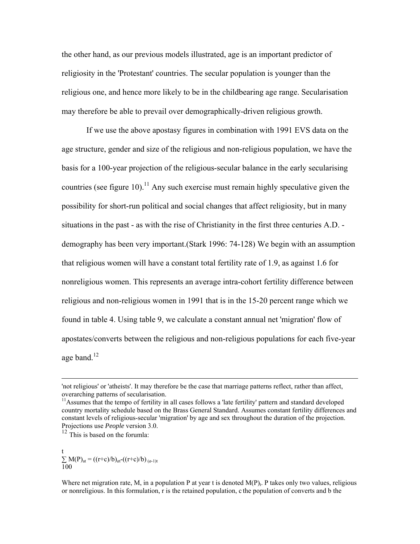the other hand, as our previous models illustrated, age is an important predictor of religiosity in the 'Protestant' countries. The secular population is younger than the religious one, and hence more likely to be in the childbearing age range. Secularisation may therefore be able to prevail over demographically-driven religious growth.

 If we use the above apostasy figures in combination with 1991 EVS data on the age structure, gender and size of the religious and non-religious population, we have the basis for a 100-year projection of the religious-secular balance in the early secularising countries (see figure 10).<sup>11</sup> Any such exercise must remain highly speculative given the possibility for short-run political and social changes that affect religiosity, but in many situations in the past - as with the rise of Christianity in the first three centuries A.D. demography has been very important.(Stark 1996: 74-128) We begin with an assumption that religious women will have a constant total fertility rate of 1.9, as against 1.6 for nonreligious women. This represents an average intra-cohort fertility difference between religious and non-religious women in 1991 that is in the 15-20 percent range which we found in table 4. Using table 9, we calculate a constant annual net 'migration' flow of apostates/converts between the religious and non-religious populations for each five-year age band. $^{12}$ 

 <sup>&#</sup>x27;not religious' or 'atheists'. It may therefore be the case that marriage patterns reflect, rather than affect, overarching patterns of secularisation.

<sup>&</sup>lt;sup>11</sup>Assumes that the tempo of fertility in all cases follows a 'late fertility' pattern and standard developed country mortality schedule based on the Brass General Standard. Assumes constant fertility differences and constant levels of religious-secular 'migration' by age and sex throughout the duration of the projection. Projections use *People* version 3.0.

 $12$  This is based on the forumla:

t  $\sum M(P)_{at} = ((r+c)/b)_{at} - ((r+c)/b)_{(a-1)t}$ 100

Where net migration rate, M, in a population P at year t is denoted  $M(P)_t$ . P takes only two values, religious or nonreligious. In this formulation, r is the retained population, c the population of converts and b the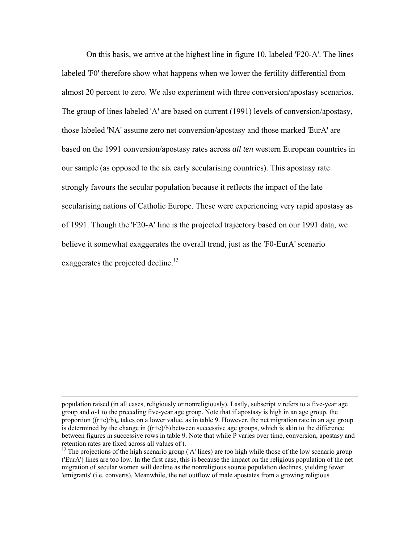On this basis, we arrive at the highest line in figure 10, labeled 'F20-A'. The lines labeled 'F0' therefore show what happens when we lower the fertility differential from almost 20 percent to zero. We also experiment with three conversion/apostasy scenarios. The group of lines labeled 'A' are based on current (1991) levels of conversion/apostasy, those labeled 'NA' assume zero net conversion/apostasy and those marked 'EurA' are based on the 1991 conversion/apostasy rates across *all ten* western European countries in our sample (as opposed to the six early secularising countries). This apostasy rate strongly favours the secular population because it reflects the impact of the late secularising nations of Catholic Europe. These were experiencing very rapid apostasy as of 1991. Though the 'F20-A' line is the projected trajectory based on our 1991 data, we believe it somewhat exaggerates the overall trend, just as the 'F0-EurA' scenario exaggerates the projected decline.<sup>13</sup>

population raised (in all cases, religiously or nonreligiously). Lastly, subscript *a* refers to a five-year age group and *a*-1 to the preceding five-year age group. Note that if apostasy is high in an age group, the proportion  $((r+c)/b)$ <sub>*at*</sub> takes on a lower value, as in table 9. However, the net migration rate in an age group is determined by the change in  $((r+c)/b)$  between successive age groups, which is akin to the difference between figures in successive rows in table 9. Note that while P varies over time, conversion, apostasy and retention rates are fixed across all values of t.

 $13$  The projections of the high scenario group ('A' lines) are too high while those of the low scenario group ('EurA') lines are too low. In the first case, this is because the impact on the religious population of the net migration of secular women will decline as the nonreligious source population declines, yielding fewer 'emigrants' (i.e. converts). Meanwhile, the net outflow of male apostates from a growing religious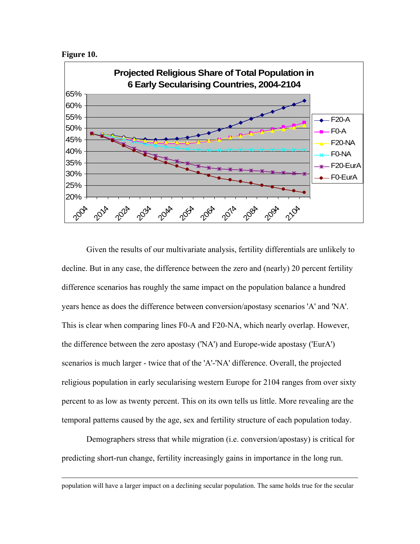



Given the results of our multivariate analysis, fertility differentials are unlikely to decline. But in any case, the difference between the zero and (nearly) 20 percent fertility difference scenarios has roughly the same impact on the population balance a hundred years hence as does the difference between conversion/apostasy scenarios 'A' and 'NA'. This is clear when comparing lines F0-A and F20-NA, which nearly overlap. However, the difference between the zero apostasy ('NA') and Europe-wide apostasy ('EurA') scenarios is much larger - twice that of the 'A'-'NA' difference. Overall, the projected religious population in early secularising western Europe for 2104 ranges from over sixty percent to as low as twenty percent. This on its own tells us little. More revealing are the temporal patterns caused by the age, sex and fertility structure of each population today.

Demographers stress that while migration (i.e. conversion/apostasy) is critical for predicting short-run change, fertility increasingly gains in importance in the long run.

population will have a larger impact on a declining secular population. The same holds true for the secular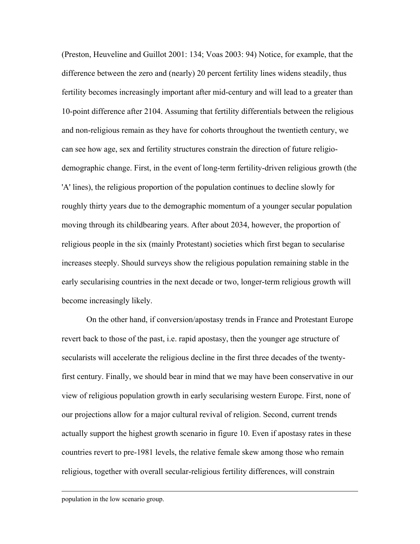(Preston, Heuveline and Guillot 2001: 134; Voas 2003: 94) Notice, for example, that the difference between the zero and (nearly) 20 percent fertility lines widens steadily, thus fertility becomes increasingly important after mid-century and will lead to a greater than 10-point difference after 2104. Assuming that fertility differentials between the religious and non-religious remain as they have for cohorts throughout the twentieth century, we can see how age, sex and fertility structures constrain the direction of future religiodemographic change. First, in the event of long-term fertility-driven religious growth (the 'A' lines), the religious proportion of the population continues to decline slowly for roughly thirty years due to the demographic momentum of a younger secular population moving through its childbearing years. After about 2034, however, the proportion of religious people in the six (mainly Protestant) societies which first began to secularise increases steeply. Should surveys show the religious population remaining stable in the early secularising countries in the next decade or two, longer-term religious growth will become increasingly likely.

On the other hand, if conversion/apostasy trends in France and Protestant Europe revert back to those of the past, i.e. rapid apostasy, then the younger age structure of secularists will accelerate the religious decline in the first three decades of the twentyfirst century. Finally, we should bear in mind that we may have been conservative in our view of religious population growth in early secularising western Europe. First, none of our projections allow for a major cultural revival of religion. Second, current trends actually support the highest growth scenario in figure 10. Even if apostasy rates in these countries revert to pre-1981 levels, the relative female skew among those who remain religious, together with overall secular-religious fertility differences, will constrain

population in the low scenario group.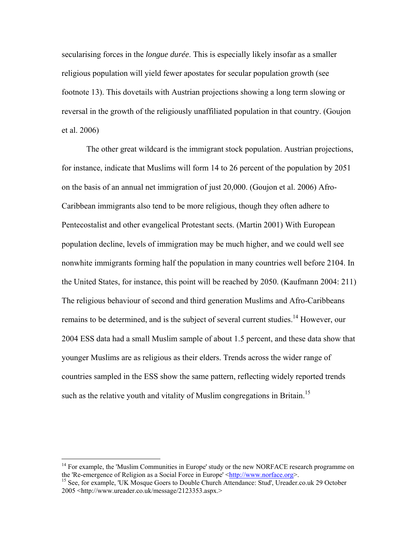secularising forces in the *longue durée*. This is especially likely insofar as a smaller religious population will yield fewer apostates for secular population growth (see footnote 13). This dovetails with Austrian projections showing a long term slowing or reversal in the growth of the religiously unaffiliated population in that country. (Goujon et al. 2006)

The other great wildcard is the immigrant stock population. Austrian projections, for instance, indicate that Muslims will form 14 to 26 percent of the population by 2051 on the basis of an annual net immigration of just 20,000. (Goujon et al. 2006) Afro-Caribbean immigrants also tend to be more religious, though they often adhere to Pentecostalist and other evangelical Protestant sects. (Martin 2001) With European population decline, levels of immigration may be much higher, and we could well see nonwhite immigrants forming half the population in many countries well before 2104. In the United States, for instance, this point will be reached by 2050. (Kaufmann 2004: 211) The religious behaviour of second and third generation Muslims and Afro-Caribbeans remains to be determined, and is the subject of several current studies.<sup>14</sup> However, our 2004 ESS data had a small Muslim sample of about 1.5 percent, and these data show that younger Muslims are as religious as their elders. Trends across the wider range of countries sampled in the ESS show the same pattern, reflecting widely reported trends such as the relative youth and vitality of Muslim congregations in Britain.<sup>15</sup>

 $\overline{a}$ 

 $14$  For example, the 'Muslim Communities in Europe' study or the new NORFACE research programme on the 'Re-emergence of Religion as a Social Force in Europe' <http://www.norface.org>. 15 See, for example, 'UK Mosque Goers to Double Church Attendance: Stud', Ureader.co.uk 29 October

<sup>2005 &</sup>lt;http://www.ureader.co.uk/message/2123353.aspx.>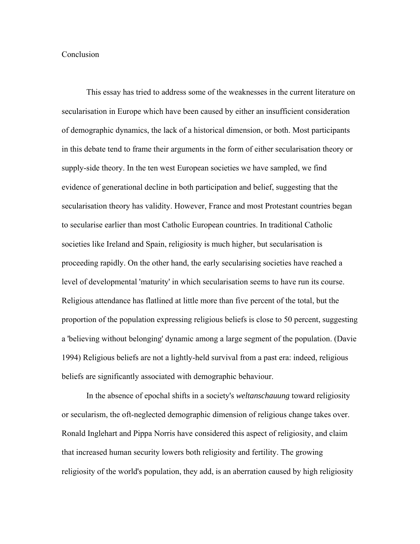# Conclusion

 This essay has tried to address some of the weaknesses in the current literature on secularisation in Europe which have been caused by either an insufficient consideration of demographic dynamics, the lack of a historical dimension, or both. Most participants in this debate tend to frame their arguments in the form of either secularisation theory or supply-side theory. In the ten west European societies we have sampled, we find evidence of generational decline in both participation and belief, suggesting that the secularisation theory has validity. However, France and most Protestant countries began to secularise earlier than most Catholic European countries. In traditional Catholic societies like Ireland and Spain, religiosity is much higher, but secularisation is proceeding rapidly. On the other hand, the early secularising societies have reached a level of developmental 'maturity' in which secularisation seems to have run its course. Religious attendance has flatlined at little more than five percent of the total, but the proportion of the population expressing religious beliefs is close to 50 percent, suggesting a 'believing without belonging' dynamic among a large segment of the population. (Davie 1994) Religious beliefs are not a lightly-held survival from a past era: indeed, religious beliefs are significantly associated with demographic behaviour.

In the absence of epochal shifts in a society's *weltanschauung* toward religiosity or secularism, the oft-neglected demographic dimension of religious change takes over. Ronald Inglehart and Pippa Norris have considered this aspect of religiosity, and claim that increased human security lowers both religiosity and fertility. The growing religiosity of the world's population, they add, is an aberration caused by high religiosity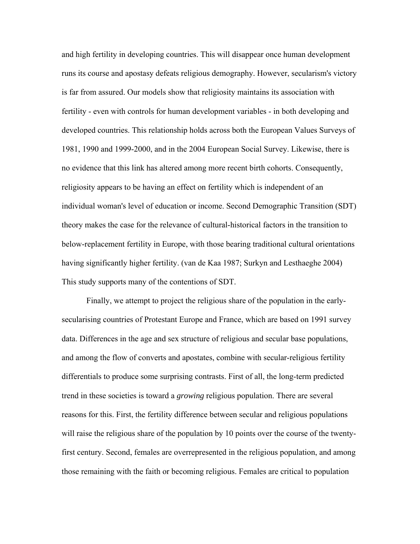and high fertility in developing countries. This will disappear once human development runs its course and apostasy defeats religious demography. However, secularism's victory is far from assured. Our models show that religiosity maintains its association with fertility - even with controls for human development variables - in both developing and developed countries. This relationship holds across both the European Values Surveys of 1981, 1990 and 1999-2000, and in the 2004 European Social Survey. Likewise, there is no evidence that this link has altered among more recent birth cohorts. Consequently, religiosity appears to be having an effect on fertility which is independent of an individual woman's level of education or income. Second Demographic Transition (SDT) theory makes the case for the relevance of cultural-historical factors in the transition to below-replacement fertility in Europe, with those bearing traditional cultural orientations having significantly higher fertility. (van de Kaa 1987; Surkyn and Lesthaeghe 2004) This study supports many of the contentions of SDT.

Finally, we attempt to project the religious share of the population in the earlysecularising countries of Protestant Europe and France, which are based on 1991 survey data. Differences in the age and sex structure of religious and secular base populations, and among the flow of converts and apostates, combine with secular-religious fertility differentials to produce some surprising contrasts. First of all, the long-term predicted trend in these societies is toward a *growing* religious population. There are several reasons for this. First, the fertility difference between secular and religious populations will raise the religious share of the population by 10 points over the course of the twentyfirst century. Second, females are overrepresented in the religious population, and among those remaining with the faith or becoming religious. Females are critical to population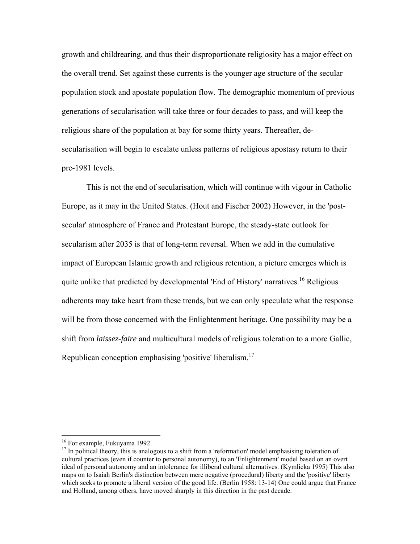growth and childrearing, and thus their disproportionate religiosity has a major effect on the overall trend. Set against these currents is the younger age structure of the secular population stock and apostate population flow. The demographic momentum of previous generations of secularisation will take three or four decades to pass, and will keep the religious share of the population at bay for some thirty years. Thereafter, desecularisation will begin to escalate unless patterns of religious apostasy return to their pre-1981 levels.

This is not the end of secularisation, which will continue with vigour in Catholic Europe, as it may in the United States. (Hout and Fischer 2002) However, in the 'postsecular' atmosphere of France and Protestant Europe, the steady-state outlook for secularism after 2035 is that of long-term reversal. When we add in the cumulative impact of European Islamic growth and religious retention, a picture emerges which is quite unlike that predicted by developmental 'End of History' narratives.<sup>16</sup> Religious adherents may take heart from these trends, but we can only speculate what the response will be from those concerned with the Enlightenment heritage. One possibility may be a shift from *laissez-faire* and multicultural models of religious toleration to a more Gallic, Republican conception emphasising 'positive' liberalism.<sup>17</sup>

 $\overline{a}$ 

<sup>&</sup>lt;sup>16</sup> For example, Fukuyama 1992.

<sup>&</sup>lt;sup>17</sup> In political theory, this is analogous to a shift from a 'reformation' model emphasising toleration of cultural practices (even if counter to personal autonomy), to an 'Enlightenment' model based on an overt ideal of personal autonomy and an intolerance for illiberal cultural alternatives. (Kymlicka 1995) This also maps on to Isaiah Berlin's distinction between mere negative (procedural) liberty and the 'positive' liberty which seeks to promote a liberal version of the good life. (Berlin 1958: 13-14) One could argue that France and Holland, among others, have moved sharply in this direction in the past decade.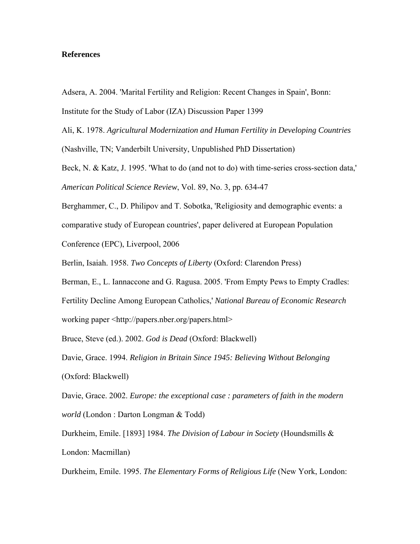### **References**

Adsera, A. 2004. 'Marital Fertility and Religion: Recent Changes in Spain', Bonn:

Institute for the Study of Labor (IZA) Discussion Paper 1399

Ali, K. 1978. *Agricultural Modernization and Human Fertility in Developing Countries*

(Nashville, TN; Vanderbilt University, Unpublished PhD Dissertation)

Beck, N. & Katz, J. 1995. 'What to do (and not to do) with time-series cross-section data,' *American Political Science Review*, Vol. 89, No. 3, pp. 634-47

Berghammer, C., D. Philipov and T. Sobotka, 'Religiosity and demographic events: a comparative study of European countries', paper delivered at European Population Conference (EPC), Liverpool, 2006

Berlin, Isaiah. 1958. *Two Concepts of Liberty* (Oxford: Clarendon Press)

Berman, E., L. Iannaccone and G. Ragusa. 2005. 'From Empty Pews to Empty Cradles:

Fertility Decline Among European Catholics,' *National Bureau of Economic Research*  working paper <http://papers.nber.org/papers.html>

Bruce, Steve (ed.). 2002. *God is Dead* (Oxford: Blackwell)

Davie, Grace. 1994. *Religion in Britain Since 1945: Believing Without Belonging*  (Oxford: Blackwell)

Davie, Grace. 2002. *Europe: the exceptional case : parameters of faith in the modern world* (London : Darton Longman & Todd)

Durkheim, Emile. [1893] 1984. *The Division of Labour in Society* (Houndsmills & London: Macmillan)

Durkheim, Emile. 1995. *The Elementary Forms of Religious Life* (New York, London: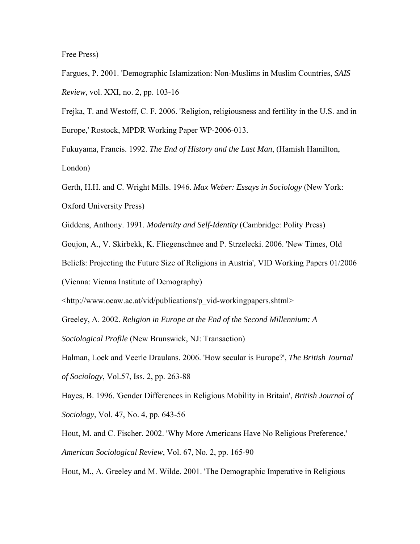Free Press)

Fargues, P. 2001. 'Demographic Islamization: Non-Muslims in Muslim Countries, *SAIS Review*, vol. XXI, no. 2, pp. 103-16

Frejka, T. and Westoff, C. F. 2006. 'Religion, religiousness and fertility in the U.S. and in Europe,' Rostock, MPDR Working Paper WP-2006-013.

Fukuyama, Francis. 1992. *The End of History and the Last Man*, (Hamish Hamilton, London)

Gerth, H.H. and C. Wright Mills. 1946. *Max Weber: Essays in Sociology* (New York: Oxford University Press)

Giddens, Anthony. 1991. *Modernity and Self-Identity* (Cambridge: Polity Press)

Goujon, A., V. Skirbekk, K. Fliegenschnee and P. Strzelecki. 2006. 'New Times, Old

Beliefs: Projecting the Future Size of Religions in Austria', VID Working Papers 01/2006

(Vienna: Vienna Institute of Demography)

<http://www.oeaw.ac.at/vid/publications/p\_vid-workingpapers.shtml>

Greeley, A. 2002. *Religion in Europe at the End of the Second Millennium: A* 

*Sociological Profile* (New Brunswick, NJ: Transaction)

Halman, Loek and Veerle Draulans. 2006. 'How secular is Europe?', *The British Journal of Sociology*, Vol.57, Iss. 2, pp. 263-88

Hayes, B. 1996. 'Gender Differences in Religious Mobility in Britain', *British Journal of Sociology*, Vol. 47, No. 4, pp. 643-56

Hout, M. and C. Fischer. 2002. 'Why More Americans Have No Religious Preference,' *American Sociological Review*, Vol. 67, No. 2, pp. 165-90

Hout, M., A. Greeley and M. Wilde. 2001. 'The Demographic Imperative in Religious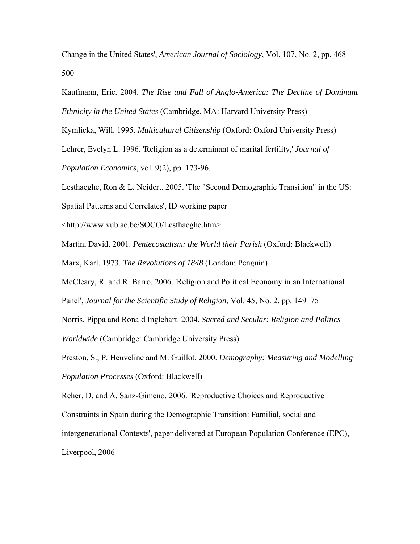Change in the United States', *American Journal of Sociology*, Vol. 107, No. 2, pp. 468– 500

Kaufmann, Eric. 2004. *The Rise and Fall of Anglo-America: The Decline of Dominant Ethnicity in the United States* (Cambridge, MA: Harvard University Press)

Kymlicka, Will. 1995. *Multicultural Citizenship* (Oxford: Oxford University Press)

Lehrer, Evelyn L. 1996. 'Religion as a determinant of marital fertility,' *Journal of* 

*Population Economics*, vol. 9(2), pp. 173-96.

Lesthaeghe, Ron & L. Neidert. 2005. 'The "Second Demographic Transition" in the US:

Spatial Patterns and Correlates', ID working paper

<http://www.vub.ac.be/SOCO/Lesthaeghe.htm>

Martin, David. 2001. *Pentecostalism: the World their Parish* (Oxford: Blackwell)

Marx, Karl. 1973. *The Revolutions of 1848* (London: Penguin)

McCleary, R. and R. Barro. 2006. 'Religion and Political Economy in an International

Panel', *Journal for the Scientific Study of Religion*, Vol. 45, No. 2, pp. 149–75

Norris, Pippa and Ronald Inglehart. 2004. *Sacred and Secular: Religion and Politics* 

*Worldwide* (Cambridge: Cambridge University Press)

Preston, S., P. Heuveline and M. Guillot. 2000. *Demography: Measuring and Modelling Population Processes* (Oxford: Blackwell)

Reher, D. and A. Sanz-Gimeno. 2006. 'Reproductive Choices and Reproductive

Constraints in Spain during the Demographic Transition: Familial, social and

intergenerational Contexts', paper delivered at European Population Conference (EPC),

Liverpool, 2006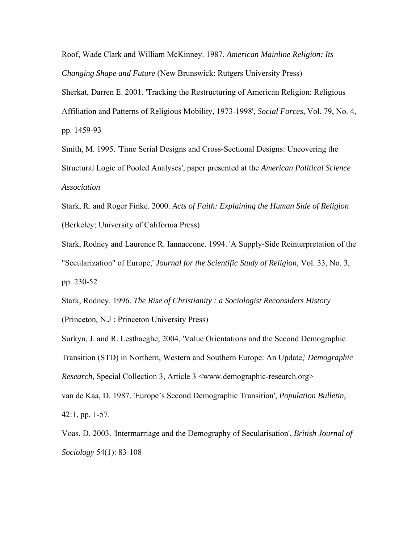Roof, Wade Clark and William McKinney. 1987. *American Mainline Religion: Its Changing Shape and Future* (New Brunswick: Rutgers University Press) Sherkat, Darren E. 2001. 'Tracking the Restructuring of American Religion: Religious Affiliation and Patterns of Religious Mobility, 1973-1998', *Social Forces*, Vol. 79, No. 4, pp. 1459-93

Smith, M. 1995. 'Time Serial Designs and Cross-Sectional Designs: Uncovering the Structural Logic of Pooled Analyses', paper presented at the *American Political Science Association* 

Stark, R. and Roger Finke. 2000. *Acts of Faith: Explaining the Human Side of Religion*  (Berkeley; University of California Press)

Stark, Rodney and Laurence R. Iannaccone. 1994. 'A Supply-Side Reinterpretation of the "Secularization" of Europe,' *Journal for the Scientific Study of Religion*, Vol. 33, No. 3, pp. 230-52

Stark, Rodney. 1996. *The Rise of Christianity : a Sociologist Reconsiders History* (Princeton, N.J : Princeton University Press)

Surkyn, J. and R. Lesthaeghe, 2004, 'Value Orientations and the Second Demographic Transition (STD) in Northern, Western and Southern Europe: An Update,' *Demographic Research*, Special Collection 3, Article 3 <www.demographic-research.org> van de Kaa, D. 1987. 'Europe's Second Demographic Transition', *Population Bulletin*,

42:1, pp. 1-57.

Voas, D. 2003. 'Intermarriage and the Demography of Secularisation', *British Journal of Sociology* 54(1): 83-108